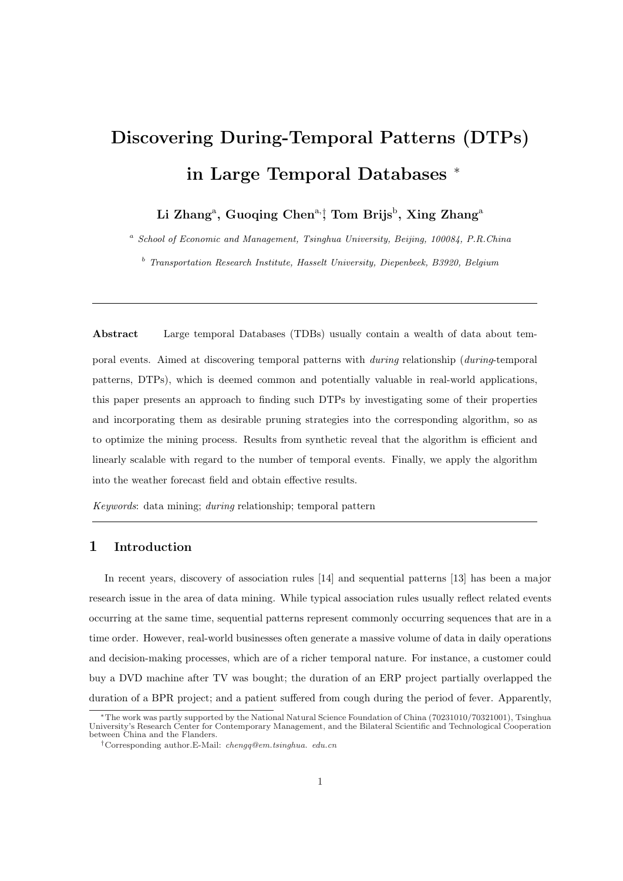# Discovering During-Temporal Patterns (DTPs) in Large Temporal Databases <sup>∗</sup>

Li Zhang<sup>a</sup>, Guoqing Chen<sup>a,</sup>¦ Tom Brijs<sup>b</sup>, Xing Zhang<sup>a</sup>

<sup>a</sup> School of Economic and Management, Tsinghua University, Beijing, 100084, P.R.China

 $b$  Transportation Research Institute, Hasselt University, Diepenbeek, B3920, Belgium

Abstract Large temporal Databases (TDBs) usually contain a wealth of data about temporal events. Aimed at discovering temporal patterns with during relationship (during-temporal patterns, DTPs), which is deemed common and potentially valuable in real-world applications, this paper presents an approach to finding such DTPs by investigating some of their properties and incorporating them as desirable pruning strategies into the corresponding algorithm, so as to optimize the mining process. Results from synthetic reveal that the algorithm is efficient and linearly scalable with regard to the number of temporal events. Finally, we apply the algorithm into the weather forecast field and obtain effective results.

Keywords: data mining; during relationship; temporal pattern

## 1 Introduction

In recent years, discovery of association rules [14] and sequential patterns [13] has been a major research issue in the area of data mining. While typical association rules usually reflect related events occurring at the same time, sequential patterns represent commonly occurring sequences that are in a time order. However, real-world businesses often generate a massive volume of data in daily operations and decision-making processes, which are of a richer temporal nature. For instance, a customer could buy a DVD machine after TV was bought; the duration of an ERP project partially overlapped the duration of a BPR project; and a patient suffered from cough during the period of fever. Apparently,

<sup>∗</sup>The work was partly supported by the National Natural Science Foundation of China (70231010/70321001), Tsinghua University's Research Center for Contemporary Management, and the Bilateral Scientific and Technological Cooperation between China and the Flanders.

<sup>†</sup>Corresponding author.E-Mail: chengq@em.tsinghua. edu.cn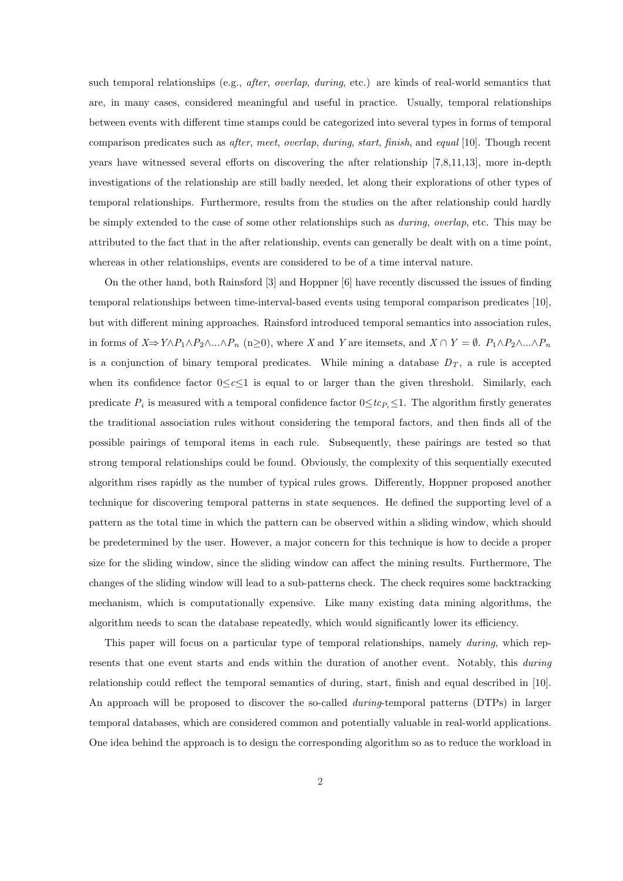such temporal relationships (e.g., *after, overlap, during*, etc.) are kinds of real-world semantics that are, in many cases, considered meaningful and useful in practice. Usually, temporal relationships between events with different time stamps could be categorized into several types in forms of temporal comparison predicates such as after, meet, overlap, during, start, finish, and equal [10]. Though recent years have witnessed several efforts on discovering the after relationship [7,8,11,13], more in-depth investigations of the relationship are still badly needed, let along their explorations of other types of temporal relationships. Furthermore, results from the studies on the after relationship could hardly be simply extended to the case of some other relationships such as *during, overlap*, etc. This may be attributed to the fact that in the after relationship, events can generally be dealt with on a time point, whereas in other relationships, events are considered to be of a time interval nature.

On the other hand, both Rainsford [3] and Hoppner [6] have recently discussed the issues of finding temporal relationships between time-interval-based events using temporal comparison predicates [10], but with different mining approaches. Rainsford introduced temporal semantics into association rules, in forms of  $X \Rightarrow Y \wedge P_1 \wedge P_2 \wedge ... \wedge P_n$  (n≥0), where X and Y are itemsets, and  $X \cap Y = \emptyset$ .  $P_1 \wedge P_2 \wedge ... \wedge P_n$ is a conjunction of binary temporal predicates. While mining a database  $D_T$ , a rule is accepted when its confidence factor  $0 \leq c \leq 1$  is equal to or larger than the given threshold. Similarly, each predicate  $P_i$  is measured with a temporal confidence factor  $0 \leq t c_{P_i} \leq 1$ . The algorithm firstly generates the traditional association rules without considering the temporal factors, and then finds all of the possible pairings of temporal items in each rule. Subsequently, these pairings are tested so that strong temporal relationships could be found. Obviously, the complexity of this sequentially executed algorithm rises rapidly as the number of typical rules grows. Differently, Hoppner proposed another technique for discovering temporal patterns in state sequences. He defined the supporting level of a pattern as the total time in which the pattern can be observed within a sliding window, which should be predetermined by the user. However, a major concern for this technique is how to decide a proper size for the sliding window, since the sliding window can affect the mining results. Furthermore, The changes of the sliding window will lead to a sub-patterns check. The check requires some backtracking mechanism, which is computationally expensive. Like many existing data mining algorithms, the algorithm needs to scan the database repeatedly, which would significantly lower its efficiency.

This paper will focus on a particular type of temporal relationships, namely *during*, which represents that one event starts and ends within the duration of another event. Notably, this *during* relationship could reflect the temporal semantics of during, start, finish and equal described in [10]. An approach will be proposed to discover the so-called during-temporal patterns (DTPs) in larger temporal databases, which are considered common and potentially valuable in real-world applications. One idea behind the approach is to design the corresponding algorithm so as to reduce the workload in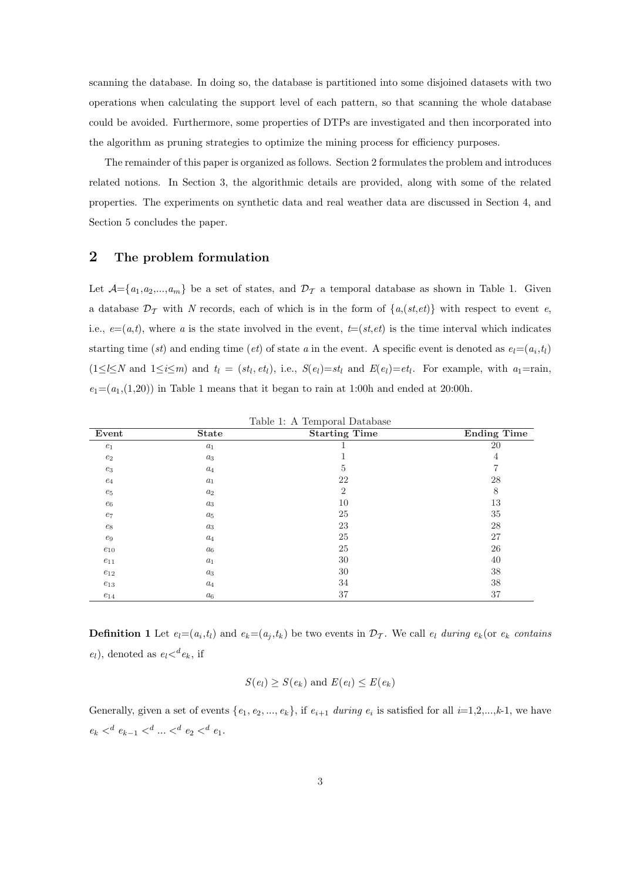scanning the database. In doing so, the database is partitioned into some disjoined datasets with two operations when calculating the support level of each pattern, so that scanning the whole database could be avoided. Furthermore, some properties of DTPs are investigated and then incorporated into the algorithm as pruning strategies to optimize the mining process for efficiency purposes.

The remainder of this paper is organized as follows. Section 2 formulates the problem and introduces related notions. In Section 3, the algorithmic details are provided, along with some of the related properties. The experiments on synthetic data and real weather data are discussed in Section 4, and Section 5 concludes the paper.

## 2 The problem formulation

Let  $\mathcal{A}=\{a_1,a_2,...,a_m\}$  be a set of states, and  $\mathcal{D}_{\mathcal{T}}$  a temporal database as shown in Table 1. Given a database  $\mathcal{D}_{\mathcal{T}}$  with N records, each of which is in the form of  $\{a,(st,et)\}\$  with respect to event e, i.e.,  $e=(a,t)$ , where a is the state involved in the event,  $t=(st,et)$  is the time interval which indicates starting time (st) and ending time (et) of state a in the event. A specific event is denoted as  $e_l = (a_i, t_l)$  $(1 \leq l \leq N \text{ and } 1 \leq i \leq m)$  and  $t_l = (st_l, et_l),$  i.e.,  $S(e_l)=st_l$  and  $E(e_l)=et_l$ . For example, with  $a_1 = \text{rain}$ ,  $e_1=(a_1,(1,20))$  in Table 1 means that it began to rain at 1:00h and ended at 20:00h.

| Event            | <b>State</b> | <b>Starting Time</b> | Ending Time    |
|------------------|--------------|----------------------|----------------|
| $e_1$            | $a_1$        |                      | 20             |
| $e_2$            | $a_3$        |                      | $\overline{4}$ |
| $\mathfrak{e}_3$ | $a_4$        | 5                    | 7              |
| $e_4$            | $a_1$        | 22                   | 28             |
| $e_5$            | $a_2$        | $\overline{2}$       | 8              |
| $\mathfrak{e}_6$ | $a_3$        | 10                   | 13             |
| $e_7$            | $a_5$        | 25                   | 35             |
| $e_8$            | $a_3$        | 23                   | 28             |
| $e_9$            | $a_4$        | 25                   | 27             |
| $e_{10}$         | $a_{6}$      | 25                   | 26             |
| $e_{11}$         | $a_1$        | 30                   | 40             |
| $e_{12}$         | $a_3$        | 30                   | 38             |
| $e_{13}$         | $a_4$        | 34                   | 38             |
| $e_{14}$         | $a_{6}$      | 37                   | 37             |

Table 1: A Temporal Database

**Definition 1** Let  $e_l = (a_i, t_l)$  and  $e_k = (a_j, t_k)$  be two events in  $\mathcal{D}_{\mathcal{T}}$ . We call  $e_l$  during  $e_k$  (or  $e_k$  contains  $e_l$ ), denoted as  $e_l <sup>d</sup>e_k$ , if

$$
S(e_l) \geq S(e_k) \text{ and } E(e_l) \leq E(e_k)
$$

Generally, given a set of events  $\{e_1, e_2, ..., e_k\}$ , if  $e_{i+1}$  during  $e_i$  is satisfied for all  $i=1,2,...,k-1$ , we have  $e_k <^d e_{k-1} <^d ... <^d e_2 <^d e_1.$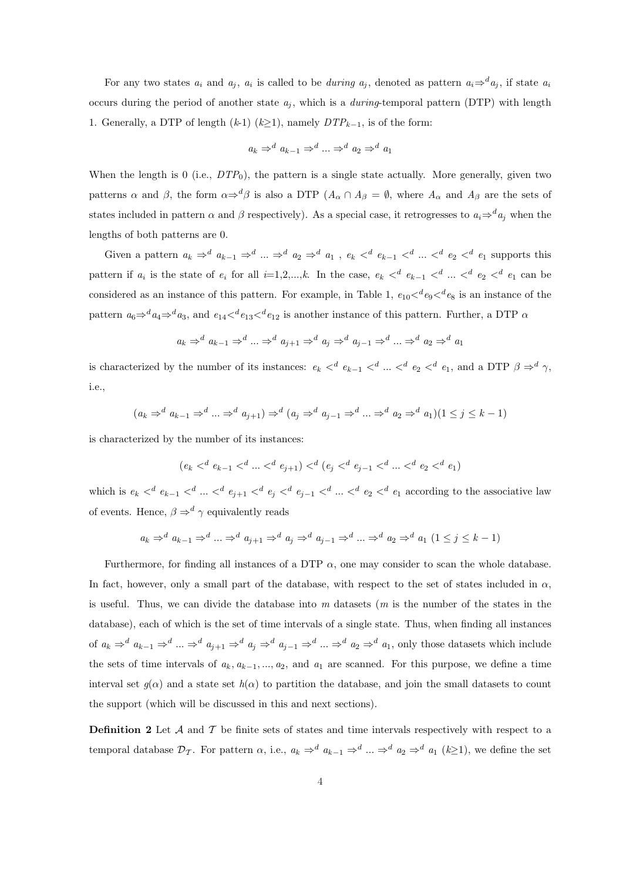For any two states  $a_i$  and  $a_j$ ,  $a_i$  is called to be *during*  $a_j$ , denoted as pattern  $a_i \Rightarrow^d a_j$ , if state  $a_i$ occurs during the period of another state  $a_j$ , which is a *during*-temporal pattern (DTP) with length 1. Generally, a DTP of length  $(k-1)$   $(k>1)$ , namely  $DTP_{k-1}$ , is of the form:

$$
a_k \Rightarrow^d a_{k-1} \Rightarrow^d \ldots \Rightarrow^d a_2 \Rightarrow^d a_1
$$

When the length is 0 (i.e.,  $DTP_0$ ), the pattern is a single state actually. More generally, given two patterns  $\alpha$  and  $\beta$ , the form  $\alpha \Rightarrow^d \beta$  is also a DTP  $(A_\alpha \cap A_\beta = \emptyset$ , where  $A_\alpha$  and  $A_\beta$  are the sets of states included in pattern  $\alpha$  and  $\beta$  respectively). As a special case, it retrogresses to  $a_i \Rightarrow^d a_j$  when the lengths of both patterns are 0.

Given a pattern  $a_k \Rightarrow^d a_{k-1} \Rightarrow^d ... \Rightarrow^d a_2 \Rightarrow^d a_1$ ,  $e_k <^d e_{k-1} <^d ... <^d e_2 <^d e_1$  supports this pattern if  $a_i$  is the state of  $e_i$  for all  $i=1,2,...,k$ . In the case,  $e_k <^d e_{k-1} <^d ... <^d e_2 <^d e_1$  can be considered as an instance of this pattern. For example, in Table 1,  $e_{10} <$ <sup>d</sup> $e_9 <$ <sup>d</sup> $e_8$  is an instance of the pattern  $a_6 \Rightarrow^d a_4 \Rightarrow^d a_3$ , and  $e_{14} <^d e_{13} <^d e_{12}$  is another instance of this pattern. Further, a DTP  $\alpha$ 

$$
a_k \Rightarrow^d a_{k-1} \Rightarrow^d \ldots \Rightarrow^d a_{j+1} \Rightarrow^d a_j \Rightarrow^d a_{j-1} \Rightarrow^d \ldots \Rightarrow^d a_2 \Rightarrow^d a_1
$$

is characterized by the number of its instances:  $e_k <^d e_{k-1} <^d ... <^d e_2 <^d e_1$ , and a DTP  $\beta \Rightarrow^d \gamma$ , i.e.,

$$
(a_k \Rightarrow^d a_{k-1} \Rightarrow^d \dots \Rightarrow^d a_{j+1}) \Rightarrow^d (a_j \Rightarrow^d a_{j-1} \Rightarrow^d \dots \Rightarrow^d a_2 \Rightarrow^d a_1)(1 \leq j \leq k-1)
$$

is characterized by the number of its instances:

$$
(e_k <^d e_{k-1} <^d \ldots <^d e_{j+1}) <^d (e_j <^d e_{j-1} <^d \ldots <^d e_2 <^d e_1)
$$

which is  $e_k <^d e_{k-1} <^d \ldots <^d e_{j+1} <^d e_j <^d e_{j-1} <^d \ldots <^d e_2 <^d e_1$  according to the associative law of events. Hence,  $\beta \Rightarrow^d \gamma$  equivalently reads

$$
a_k \Rightarrow^d a_{k-1} \Rightarrow^d \dots \Rightarrow^d a_{j+1} \Rightarrow^d a_j \Rightarrow^d a_{j-1} \Rightarrow^d \dots \Rightarrow^d a_2 \Rightarrow^d a_1 (1 \leq j \leq k-1)
$$

Furthermore, for finding all instances of a DTP  $\alpha$ , one may consider to scan the whole database. In fact, however, only a small part of the database, with respect to the set of states included in  $\alpha$ , is useful. Thus, we can divide the database into  $m$  datasets  $(m \text{ is the number of the states in the})$ database), each of which is the set of time intervals of a single state. Thus, when finding all instances of  $a_k \Rightarrow^d a_{k-1} \Rightarrow^d ... \Rightarrow^d a_{j+1} \Rightarrow^d a_j \Rightarrow^d a_{j-1} \Rightarrow^d ... \Rightarrow^d a_2 \Rightarrow^d a_1$ , only those datasets which include the sets of time intervals of  $a_k, a_{k-1}, ..., a_2$ , and  $a_1$  are scanned. For this purpose, we define a time interval set  $q(\alpha)$  and a state set  $h(\alpha)$  to partition the database, and join the small datasets to count the support (which will be discussed in this and next sections).

**Definition 2** Let  $\mathcal A$  and  $\mathcal T$  be finite sets of states and time intervals respectively with respect to a temporal database  $\mathcal{D}_{\mathcal{T}}$ . For pattern  $\alpha$ , i.e.,  $a_k \Rightarrow^d a_{k-1} \Rightarrow^d ... \Rightarrow^d a_2 \Rightarrow^d a_1 (k \geq 1)$ , we define the set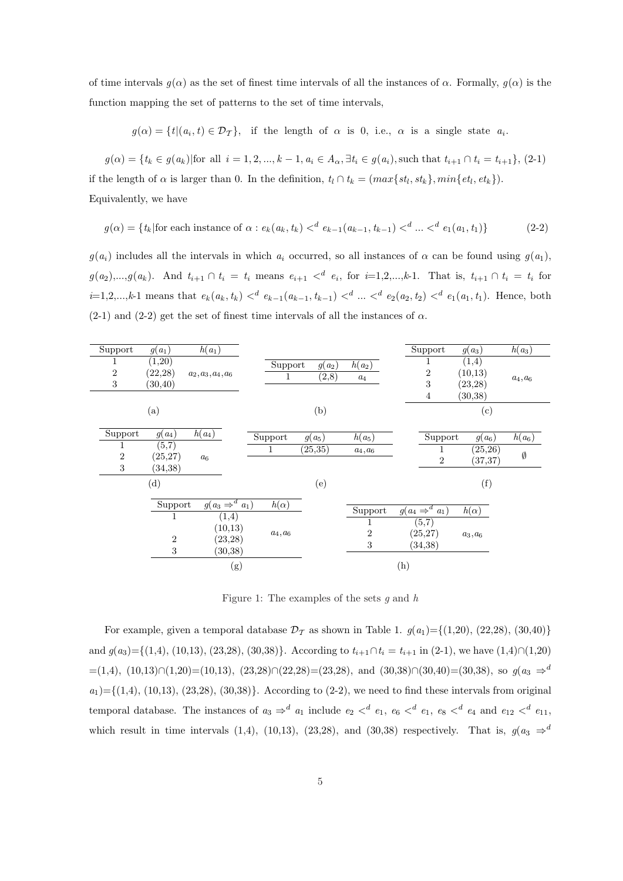of time intervals  $q(\alpha)$  as the set of finest time intervals of all the instances of  $\alpha$ . Formally,  $q(\alpha)$  is the function mapping the set of patterns to the set of time intervals,

 $g(\alpha) = \{t | (a_i, t) \in \mathcal{D}_{\mathcal{T}}\},\$  if the length of  $\alpha$  is 0, i.e.,  $\alpha$  is a single state  $a_i$ .

 $g(\alpha) = \{t_k \in g(a_k) | \text{for all } i = 1, 2, ..., k-1, a_i \in A_\alpha, \exists t_i \in g(a_i), \text{such that } t_{i+1} \cap t_i = t_{i+1}\}, (2-1)$ if the length of  $\alpha$  is larger than 0. In the definition,  $t_l \cap t_k = (max{st_l, st_k}, min{et_l, et_k}).$ Equivalently, we have

$$
g(\alpha) = \{ t_k | \text{for each instance of } \alpha : e_k(a_k, t_k) <^d e_{k-1}(a_{k-1}, t_{k-1}) <^d \dots <^d e_1(a_1, t_1) \} \tag{2-2}
$$

 $g(a_i)$  includes all the intervals in which  $a_i$  occurred, so all instances of  $\alpha$  can be found using  $g(a_1)$ ,  $g(a_2),...,g(a_k)$ . And  $t_{i+1} \cap t_i = t_i$  means  $e_{i+1} <^d e_i$ , for  $i=1,2,...,k-1$ . That is,  $t_{i+1} \cap t_i = t_i$  for  $i=1,2,...,k-1$  means that  $e_k(a_k, t_k) <^d e_{k-1}(a_{k-1}, t_{k-1}) <^d ... <^d e_2(a_2, t_2) <^d e_1(a_1, t_1)$ . Hence, both  $(2-1)$  and  $(2-2)$  get the set of finest time intervals of all the instances of  $\alpha$ .

| Support             | $g(a_1)$                       | $h(a_1)$                     |              |                   |                              | Support                               | $g(a_3)$                                  | $h(a_3)$   |
|---------------------|--------------------------------|------------------------------|--------------|-------------------|------------------------------|---------------------------------------|-------------------------------------------|------------|
| 1<br>$\,2$<br>$\,3$ | (1,20)<br>(22, 28)<br>(30, 40) | $a_2, a_3, a_4, a_6$         | Support<br>1 | $g(a_2)$<br>(2,8) | $h(a_2)$<br>$\mathfrak{a}_4$ | $\overline{2}$<br>3<br>$\overline{4}$ | (1,4)<br>(10, 13)<br>(23, 28)<br>(30, 38) | $a_4, a_6$ |
|                     | (a)                            |                              |              | (b)               |                              |                                       | (c)                                       |            |
| Support             | $g(a_4)$                       | $h(a_4)$                     | Support      | $g(a_5)$          | $h(a_5)$                     | Support                               | $g(a_6)$                                  | $h(a_6)$   |
| 1                   | (5,7)                          |                              | 1            | (25, 35)          | $a_4, a_6$                   | T                                     | (25, 26)                                  | Ø          |
| $\,2$<br>3          | (25, 27)<br>(34, 38)           | a <sub>6</sub>               |              |                   |                              | $\overline{2}$                        | (37, 37)                                  |            |
|                     | (d)                            |                              |              | (e)               |                              |                                       | (f)                                       |            |
|                     | Support                        | $g(a_3 \Rightarrow^d a_1)$   | $h(\alpha)$  |                   | Support                      | $g(a_4 \Rightarrow^d a_1)$            | $h(\alpha)$                               |            |
|                     | $\mathbf{1}$<br>$\overline{2}$ | (1,4)<br>(10,13)<br>(23, 28) | $a_4, a_6$   |                   | 1<br>$\overline{2}$          | (5,7)<br>(25, 27)                     | $a_3, a_6$                                |            |
|                     | $\,3$                          | (30,38)                      |              |                   | $\,3$                        | (34, 38)                              |                                           |            |
|                     |                                | (g)                          |              |                   |                              | (h)                                   |                                           |            |

Figure 1: The examples of the sets  $g$  and  $h$ 

For example, given a temporal database  $\mathcal{D}_{\mathcal{T}}$  as shown in Table 1.  $g(a_1) = \{(1,20), (22,28), (30,40)\}\$ and  $g(a_3) = \{(1,4), (10,13), (23,28), (30,38)\}.$  According to  $t_{i+1} \cap t_i = t_{i+1}$  in  $(2-1)$ , we have  $(1,4) \cap (1,20)$  $=(1,4), (10,13) ∩ (1,20) = (10,13), (23,28) ∩ (22,28) = (23,28), \text{ and } (30,38) ∩ (30,40) = (30,38), \text{ so } g(a_3 \Rightarrow a_3 \Rightarrow a_3 \Rightarrow a_1 \Rightarrow a_2 \Rightarrow a_3 \Rightarrow a_1 \Rightarrow a_2 \Rightarrow a_3 \Rightarrow a_3 \Rightarrow a_1 \Rightarrow a_2 \Rightarrow a_3 \Rightarrow a_1 \Rightarrow a_2 \Rightarrow a_3 \Rightarrow a_3 \Rightarrow a_1 \Rightarrow a_2 \Rightarrow a_3 \Rightarrow a_3 \Rightarrow a_3 \Rightarrow a_3 \Rightarrow a_3 \Rightarrow a_3 \Rightarrow a_3 \Rightarrow a_$  $a_1$  = { $(1,4)$ ,  $(10,13)$ ,  $(23,28)$ ,  $(30,38)$ }. According to  $(2-2)$ , we need to find these intervals from original temporal database. The instances of  $a_3 \Rightarrow^d a_1$  include  $e_2 <^d e_1$ ,  $e_6 <^d e_1$ ,  $e_8 <^d e_4$  and  $e_{12} <^d e_{11}$ , which result in time intervals (1,4), (10,13), (23,28), and (30,38) respectively. That is,  $g(a_3 \Rightarrow^d$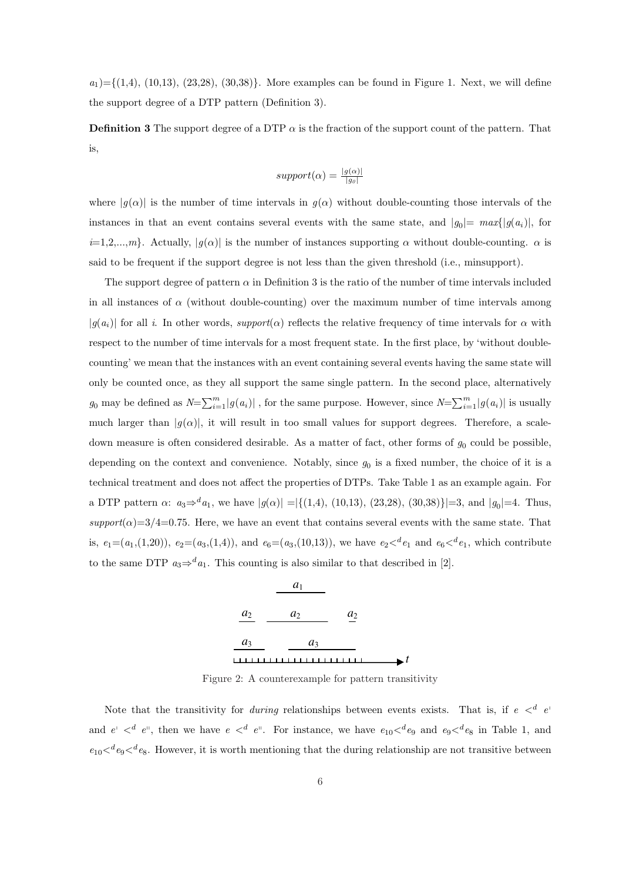$a_1$  = {(1,4), (10,13), (23,28), (30,38)}. More examples can be found in Figure 1. Next, we will define the support degree of a DTP pattern (Definition 3).

**Definition 3** The support degree of a DTP  $\alpha$  is the fraction of the support count of the pattern. That is,

$$
support(\alpha) = \frac{|g(\alpha)|}{|g_0|}
$$

where  $|g(\alpha)|$  is the number of time intervals in  $g(\alpha)$  without double-counting those intervals of the instances in that an event contains several events with the same state, and  $|g_0| = max\{|g(a_i)|,$  for  $i=1,2,...,m$ . Actually,  $|g(\alpha)|$  is the number of instances supporting  $\alpha$  without double-counting.  $\alpha$  is said to be frequent if the support degree is not less than the given threshold (i.e., minsupport).

The support degree of pattern  $\alpha$  in Definition 3 is the ratio of the number of time intervals included in all instances of  $\alpha$  (without double-counting) over the maximum number of time intervals among  $|g(a_i)|$  for all i. In other words, support( $\alpha$ ) reflects the relative frequency of time intervals for  $\alpha$  with respect to the number of time intervals for a most frequent state. In the first place, by 'without doublecounting' we mean that the instances with an event containing several events having the same state will only be counted once, as they all support the same single pattern. In the second place, alternatively  $g_0$  may be defined as  $N=\sum_{i=1}^m |g(a_i)|$ , for the same purpose. However, since  $N=\sum_{i=1}^m |g(a_i)|$  is usually much larger than  $|g(\alpha)|$ , it will result in too small values for support degrees. Therefore, a scaledown measure is often considered desirable. As a matter of fact, other forms of  $g_0$  could be possible, depending on the context and convenience. Notably, since  $g_0$  is a fixed number, the choice of it is a technical treatment and does not affect the properties of DTPs. Take Table 1 as an example again. For a DTP pattern  $\alpha$ :  $a_3 \Rightarrow^d a_1$ , we have  $|g(\alpha)| = |\{(1,4), (10,13), (23,28), (30,38)\}| = 3$ , and  $|g_0| = 4$ . Thus,  $support(\alpha)=3/4=0.75$ . Here, we have an event that contains several events with the same state. That is,  $e_1=(a_1,(1,20))$ ,  $e_2=(a_3,(1,4))$ , and  $e_6=(a_3,(10,13))$ , we have  $e_2<sup>d</sup>e_1$  and  $e_6<sup>d</sup>e_1$ , which contribute to the same DTP  $a_3 \Rightarrow a_1$ . This counting is also similar to that described in [2].



Figure 2: A counterexample for pattern transitivity

Note that the transitivity for *during* relationships between events exists. That is, if  $e <^d e$ and  $e' <^d e''$ , then we have  $e <^d e''$ . For instance, we have  $e_{10} <^d e_9$  and  $e_9 <^d e_8$  in Table 1, and  $e_{10}$   $\lt^d e_9$   $\lt^d e_8$ . However, it is worth mentioning that the during relationship are not transitive between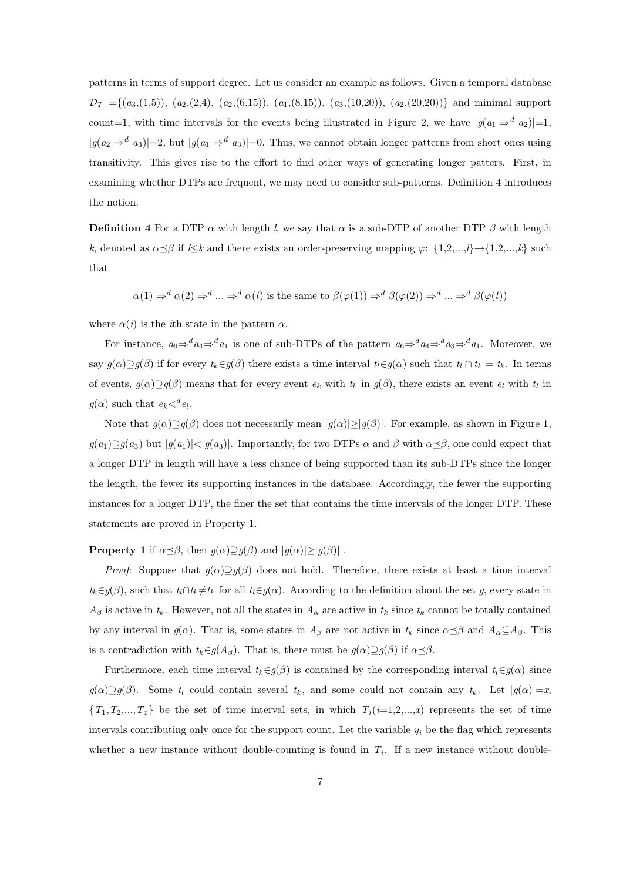patterns in terms of support degree. Let us consider an example as follows. Given a temporal database  $\mathcal{D}_{\mathcal{T}} = \{(a_3,(1,5)), (a_2,(2,4), (a_2,(6,15)), (a_1,(8,15)), (a_3,(10,20)), (a_2,(20,20))\}$  and minimal support count=1, with time intervals for the events being illustrated in Figure 2, we have  $|g(a_1 \Rightarrow^d a_2)|=1$ ,  $|g(a_2 \Rightarrow^d a_3)|=2$ , but  $|g(a_1 \Rightarrow^d a_3)|=0$ . Thus, we cannot obtain longer patterns from short ones using transitivity. This gives rise to the effort to find other ways of generating longer patters. First, in examining whether DTPs are frequent, we may need to consider sub-patterns. Definition 4 introduces the notion.

**Definition 4** For a DTP  $\alpha$  with length l, we say that  $\alpha$  is a sub-DTP of another DTP  $\beta$  with length k, denoted as  $\alpha \preceq \beta$  if l≤k and there exists an order-preserving mapping  $\varphi$ : {1,2,...,l}→{1,2,...,k} such that

$$
\alpha(1) \Rightarrow^d \alpha(2) \Rightarrow^d \ldots \Rightarrow^d \alpha(l)
$$
 is the same to  $\beta(\varphi(1)) \Rightarrow^d \beta(\varphi(2)) \Rightarrow^d \ldots \Rightarrow^d \beta(\varphi(l))$ 

where  $\alpha(i)$  is the *i*th state in the pattern  $\alpha$ .

For instance,  $a_6 \Rightarrow^d a_4 \Rightarrow^d a_1$  is one of sub-DTPs of the pattern  $a_6 \Rightarrow^d a_4 \Rightarrow^d a_3 \Rightarrow^d a_1$ . Moreover, we say  $g(\alpha) \supseteq g(\beta)$  if for every  $t_k \in g(\beta)$  there exists a time interval  $t_l \in g(\alpha)$  such that  $t_l \cap t_k = t_k$ . In terms of events,  $g(\alpha) \supseteq g(\beta)$  means that for every event  $e_k$  with  $t_k$  in  $g(\beta)$ , there exists an event  $e_l$  with  $t_l$  in  $g(\alpha)$  such that  $e_k <^d e_l$ .

Note that  $g(\alpha) \supseteq g(\beta)$  does not necessarily mean  $|g(\alpha)| \geq |g(\beta)|$ . For example, as shown in Figure 1,  $g(a_1)\supseteq g(a_3)$  but  $|g(a_1)| < |g(a_3)|$ . Importantly, for two DTPs  $\alpha$  and  $\beta$  with  $\alpha \preceq \beta$ , one could expect that a longer DTP in length will have a less chance of being supported than its sub-DTPs since the longer the length, the fewer its supporting instances in the database. Accordingly, the fewer the supporting instances for a longer DTP, the finer the set that contains the time intervals of the longer DTP. These statements are proved in Property 1.

## **Property 1** if  $\alpha \leq \beta$ , then  $g(\alpha) \supseteq g(\beta)$  and  $|g(\alpha)| \geq |g(\beta)|$ .

*Proof:* Suppose that  $g(\alpha) \supseteq g(\beta)$  does not hold. Therefore, there exists at least a time interval  $t_k \in g(\beta)$ , such that  $t_l \cap t_k \neq t_k$  for all  $t_l \in g(\alpha)$ . According to the definition about the set g, every state in  $A_\beta$  is active in  $t_k$ . However, not all the states in  $A_\alpha$  are active in  $t_k$  since  $t_k$  cannot be totally contained by any interval in  $g(\alpha)$ . That is, some states in  $A_\beta$  are not active in  $t_k$  since  $\alpha \preceq \beta$  and  $A_\alpha \subseteq A_\beta$ . This is a contradiction with  $t_k \in g(A_\beta)$ . That is, there must be  $g(\alpha) \supseteq g(\beta)$  if  $\alpha \preceq \beta$ .

Furthermore, each time interval  $t_k \in g(\beta)$  is contained by the corresponding interval  $t_l \in g(\alpha)$  since  $g(\alpha)\supseteq g(\beta)$ . Some  $t_l$  could contain several  $t_k$ , and some could not contain any  $t_k$ . Let  $|g(\alpha)|=x$ ,  $\{T_1, T_2,...,T_x\}$  be the set of time interval sets, in which  $T_i(i=1,2,...,x)$  represents the set of time intervals contributing only once for the support count. Let the variable  $y_i$  be the flag which represents whether a new instance without double-counting is found in  $T_i$ . If a new instance without double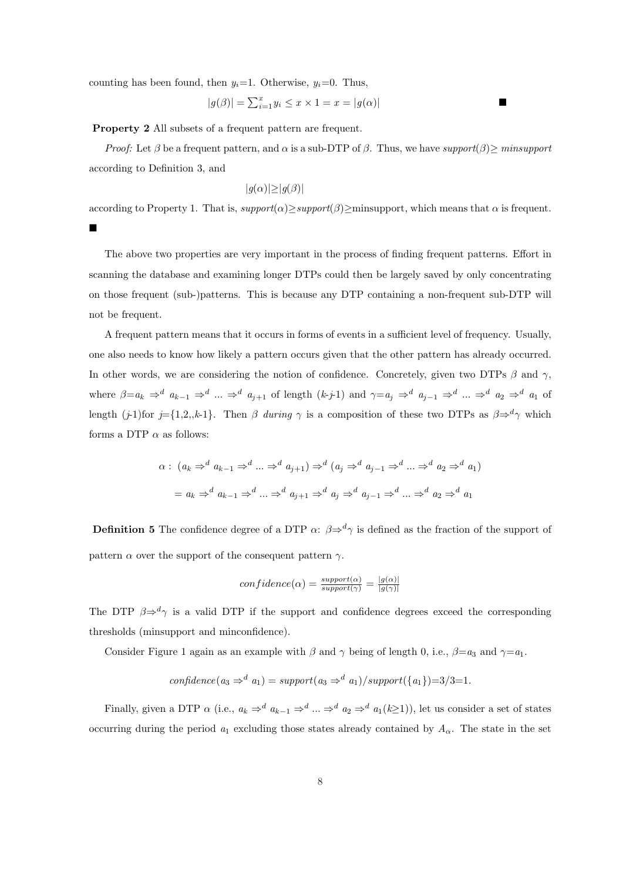counting has been found, then  $y_i=1$ . Otherwise,  $y_i=0$ . Thus,

$$
|g(\beta)| = \sum_{i=1}^{x} y_i \leq x \times 1 = x = |g(\alpha)|
$$

Property 2 All subsets of a frequent pattern are frequent.

*Proof:* Let  $\beta$  be a frequent pattern, and  $\alpha$  is a sub-DTP of  $\beta$ . Thus, we have support( $\beta$ ) > minsupport according to Definition 3, and

$$
|g(\alpha)| \ge |g(\beta)|
$$

according to Property 1. That is,  $support(\alpha) \ge support(\beta) \ge minsupport$ , which means that  $\alpha$  is frequent.

¥

The above two properties are very important in the process of finding frequent patterns. Effort in scanning the database and examining longer DTPs could then be largely saved by only concentrating on those frequent (sub-)patterns. This is because any DTP containing a non-frequent sub-DTP will not be frequent.

A frequent pattern means that it occurs in forms of events in a sufficient level of frequency. Usually, one also needs to know how likely a pattern occurs given that the other pattern has already occurred. In other words, we are considering the notion of confidence. Concretely, given two DTPs  $\beta$  and  $\gamma$ , where  $\beta = a_k \Rightarrow^d a_{k-1} \Rightarrow^d ... \Rightarrow^d a_{j+1}$  of length  $(k-j-1)$  and  $\gamma = a_j \Rightarrow^d a_{j-1} \Rightarrow^d ... \Rightarrow^d a_2 \Rightarrow^d a_1$  of length (j-1)for j={1,2,,k-1}. Then  $\beta$  during  $\gamma$  is a composition of these two DTPs as  $\beta \Rightarrow^d \gamma$  which forms a DTP  $\alpha$  as follows:

$$
\alpha: (a_k \Rightarrow^d a_{k-1} \Rightarrow^d \dots \Rightarrow^d a_{j+1}) \Rightarrow^d (a_j \Rightarrow^d a_{j-1} \Rightarrow^d \dots \Rightarrow^d a_2 \Rightarrow^d a_1)
$$

$$
= a_k \Rightarrow^d a_{k-1} \Rightarrow^d \dots \Rightarrow^d a_{j+1} \Rightarrow^d a_j \Rightarrow^d a_{j-1} \Rightarrow^d \dots \Rightarrow^d a_2 \Rightarrow^d a_1
$$

**Definition 5** The confidence degree of a DTP  $\alpha$ :  $\beta \Rightarrow^d \gamma$  is defined as the fraction of the support of pattern  $\alpha$  over the support of the consequent pattern  $\gamma$ .

$$
confidence(\alpha) = \frac{support(\alpha)}{support(\gamma)} = \frac{|g(\alpha)|}{|g(\gamma)|}
$$

The DTP  $\beta \Rightarrow^d \gamma$  is a valid DTP if the support and confidence degrees exceed the corresponding thresholds (minsupport and minconfidence).

Consider Figure 1 again as an example with  $\beta$  and  $\gamma$  being of length 0, i.e.,  $\beta = a_3$  and  $\gamma = a_1$ .

$$
confidence(a_3 \Rightarrow^d a_1) = support(a_3 \Rightarrow^d a_1)/support(\{a_1\})=3/3=1.
$$

Finally, given a DTP  $\alpha$  (i.e.,  $a_k \Rightarrow^d a_{k-1} \Rightarrow^d ... \Rightarrow^d a_2 \Rightarrow^d a_1(k \ge 1)$ ), let us consider a set of states occurring during the period  $a_1$  excluding those states already contained by  $A_\alpha$ . The state in the set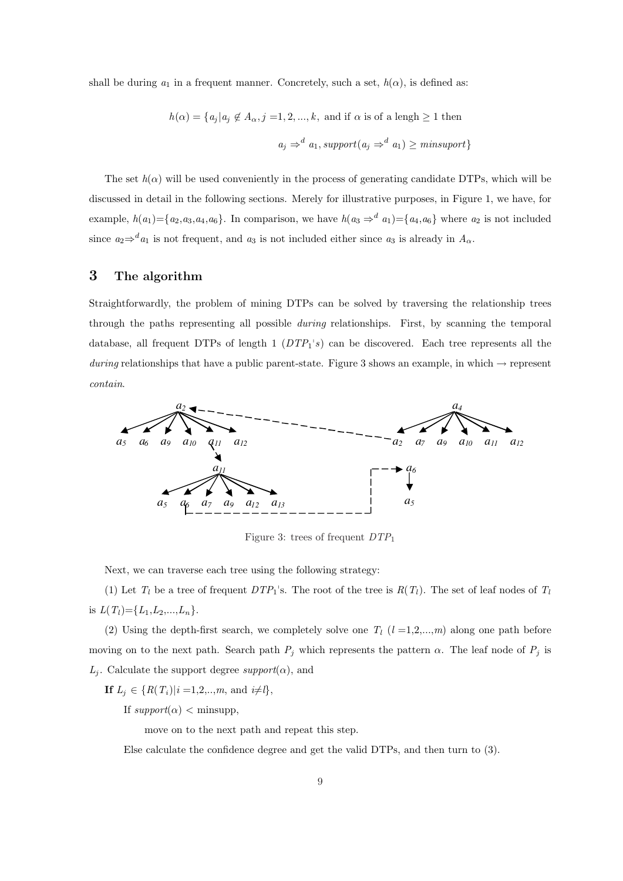shall be during  $a_1$  in a frequent manner. Concretely, such a set,  $h(\alpha)$ , is defined as:

$$
h(\alpha) = \{a_j | a_j \notin A_\alpha, j = 1, 2, ..., k, \text{ and if } \alpha \text{ is of a length } \ge 1 \text{ then}
$$
  

$$
a_j \Rightarrow^d a_1, support(a_j \Rightarrow^d a_1) \ge minsupport\}
$$

The set  $h(\alpha)$  will be used conveniently in the process of generating candidate DTPs, which will be discussed in detail in the following sections. Merely for illustrative purposes, in Figure 1, we have, for example,  $h(a_1) = \{a_2, a_3, a_4, a_6\}$ . In comparison, we have  $h(a_3 \Rightarrow^d a_1) = \{a_4, a_6\}$  where  $a_2$  is not included since  $a_2 \Rightarrow^d a_1$  is not frequent, and  $a_3$  is not included either since  $a_3$  is already in  $A_\alpha$ .

## 3 The algorithm

Straightforwardly, the problem of mining DTPs can be solved by traversing the relationship trees through the paths representing all possible *during* relationships. First, by scanning the temporal database, all frequent DTPs of length  $1(DTP_1^s)$  can be discovered. Each tree represents all the during relationships that have a public parent-state. Figure 3 shows an example, in which  $\rightarrow$  represent contain.



Figure 3: trees of frequent  $DTP_1$ 

Next, we can traverse each tree using the following strategy:

(1) Let  $T_l$  be a tree of frequent  $DTP_1$ 's. The root of the tree is  $R(T_l)$ . The set of leaf nodes of  $T_l$ is  $L(T_l) = \{L_1, L_2, ..., L_n\}.$ 

(2) Using the depth-first search, we completely solve one  $T_l$  ( $l = 1,2,...,m$ ) along one path before moving on to the next path. Search path  $P_j$  which represents the pattern  $\alpha$ . The leaf node of  $P_j$  is  $L_j$ . Calculate the support degree support $(\alpha)$ , and

**If**  $L_j \in \{R(T_i)|i=1,2,..,m, \text{ and } i\neq l\},\$ 

If  $support(\alpha) <$  minsupp,

move on to the next path and repeat this step.

Else calculate the confidence degree and get the valid DTPs, and then turn to (3).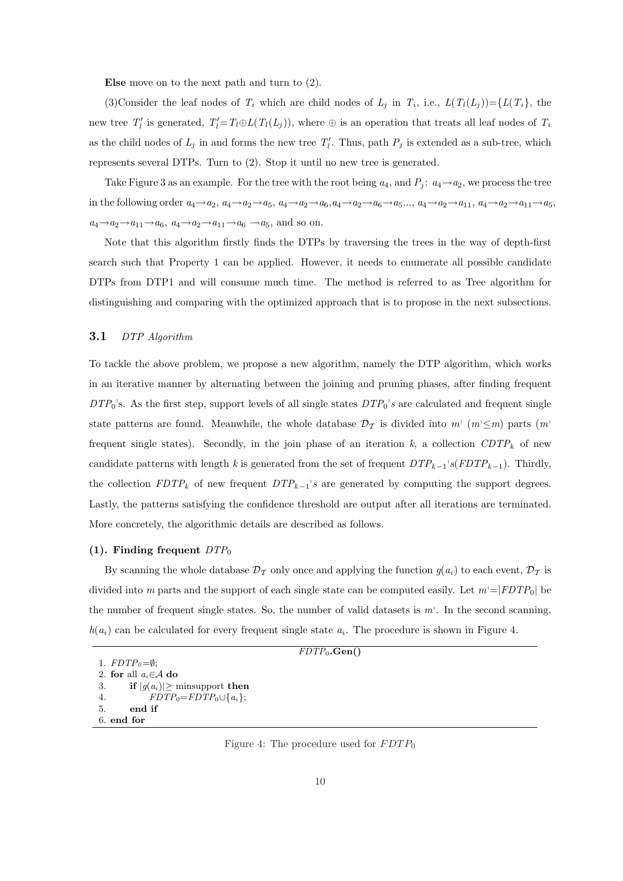Else move on to the next path and turn to (2).

(3) Consider the leaf nodes of  $T_i$  which are child nodes of  $L_j$  in  $T_i$ , i.e.,  $L(T_i(L_j)) = \{L(T_i)\}$ , the new tree  $T'_l$  is generated,  $T'_l = T_l \oplus L(T_l(L_j))$ , where  $\oplus$  is an operation that treats all leaf nodes of  $T_i$ as the child nodes of  $L_j$  in and forms the new tree  $T'_l$ . Thus, path  $P_j$  is extended as a sub-tree, which represents several DTPs. Turn to (2). Stop it until no new tree is generated.

Take Figure 3 as an example. For the tree with the root being  $a_4$ , and  $P_j$ :  $a_4 \rightarrow a_2$ , we process the tree in the following order  $a_4 \rightarrow a_2$ ,  $a_4 \rightarrow a_2 \rightarrow a_5$ ,  $a_4 \rightarrow a_2 \rightarrow a_6$ ,  $a_4 \rightarrow a_2 \rightarrow a_6 \rightarrow a_5$ ...,  $a_4 \rightarrow a_2 \rightarrow a_{11}$ ,  $a_4 \rightarrow a_2 \rightarrow a_{11} \rightarrow a_5$ ,  $a_4 \rightarrow a_2 \rightarrow a_{11} \rightarrow a_6$ ,  $a_4 \rightarrow a_2 \rightarrow a_{11} \rightarrow a_6 \rightarrow a_5$ , and so on.

Note that this algorithm firstly finds the DTPs by traversing the trees in the way of depth-first search such that Property 1 can be applied. However, it needs to enumerate all possible candidate DTPs from DTP1 and will consume much time. The method is referred to as Tree algorithm for distinguishing and comparing with the optimized approach that is to propose in the next subsections.

#### 3.1 DTP Algorithm

To tackle the above problem, we propose a new algorithm, namely the DTP algorithm, which works in an iterative manner by alternating between the joining and pruning phases, after finding frequent  $DTP_0$ 's. As the first step, support levels of all single states  $DTP_0$ 's are calculated and frequent single state patterns are found. Meanwhile, the whole database  $\mathcal{D}_{\mathcal{T}}$  is divided into  $m^+(m \leq m)$  parts  $(m^+ \leq m)$ frequent single states). Secondly, in the join phase of an iteration  $k$ , a collection  $CDTP_k$  of new candidate patterns with length k is generated from the set of frequent  $DTP_{k-1}$ 's( $FDTP_{k-1}$ ). Thirdly, the collection  $FDTP_k$  of new frequent  $DTP_{k-1}$ 's are generated by computing the support degrees. Lastly, the patterns satisfying the confidence threshold are output after all iterations are terminated. More concretely, the algorithmic details are described as follows.

#### (1). Finding frequent  $DTP_0$

By scanning the whole database  $\mathcal{D}_{\mathcal{T}}$  only once and applying the function  $g(a_i)$  to each event,  $\mathcal{D}_{\mathcal{T}}$  is divided into m parts and the support of each single state can be computed easily. Let  $m=|FDTP_0|$  be the number of frequent single states. So, the number of valid datasets is  $m<sup>1</sup>$ . In the second scanning,  $h(a_i)$  can be calculated for every frequent single state  $a_i$ . The procedure is shown in Figure 4.

```
FDTP_0.Gen()
```

```
2. for all a_i \in \mathcal{A} do
```

```
3. if |g(a_i)| \ge minsupport then
4. FDTP_0= FDTP_0\cup\{a_i\};
```

```
5. end if
```

```
6. end for
```
1.  $FDTP<sub>0</sub>=\emptyset;$ 

Figure 4: The procedure used for  $FDTP_0$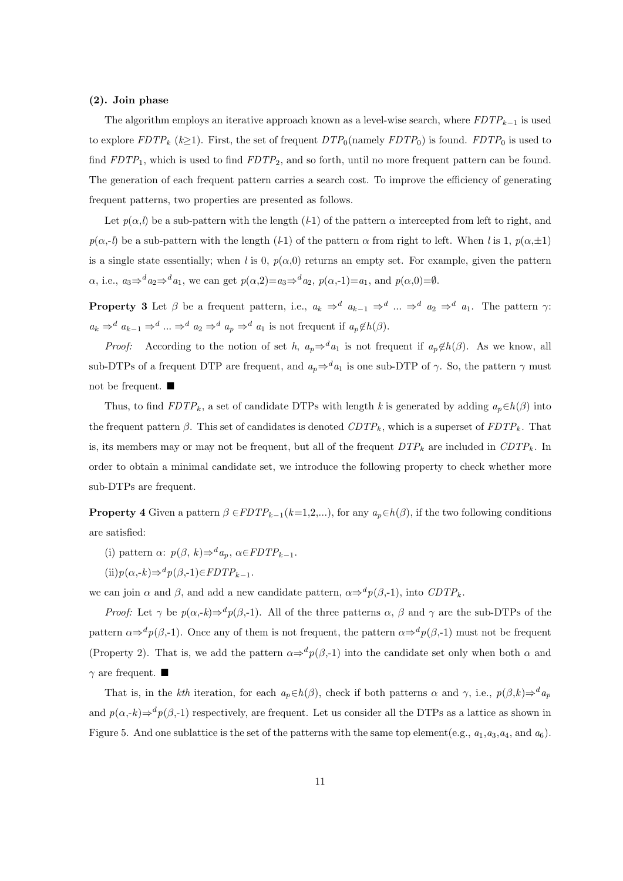#### (2). Join phase

The algorithm employs an iterative approach known as a level-wise search, where  $FDTP_{k-1}$  is used to explore  $FDTP_k$  ( $k\geq 1$ ). First, the set of frequent  $DTP_0$ (namely  $FDTP_0$ ) is found.  $FDTP_0$  is used to find  $FDTP_1$ , which is used to find  $FDTP_2$ , and so forth, until no more frequent pattern can be found. The generation of each frequent pattern carries a search cost. To improve the efficiency of generating frequent patterns, two properties are presented as follows.

Let  $p(\alpha, l)$  be a sub-pattern with the length (*l*-1) of the pattern  $\alpha$  intercepted from left to right, and  $p(\alpha,-l)$  be a sub-pattern with the length (l-1) of the pattern  $\alpha$  from right to left. When l is 1,  $p(\alpha,\pm 1)$ is a single state essentially; when l is 0,  $p(\alpha,0)$  returns an empty set. For example, given the pattern  $\alpha$ , i.e.,  $a_3 \Rightarrow^d a_2 \Rightarrow^d a_1$ , we can get  $p(\alpha, 2) = a_3 \Rightarrow^d a_2$ ,  $p(\alpha, -1) = a_1$ , and  $p(\alpha, 0) = \emptyset$ .

**Property 3** Let  $\beta$  be a frequent pattern, i.e.,  $a_k \Rightarrow^d a_{k-1} \Rightarrow^d ... \Rightarrow^d a_2 \Rightarrow^d a_1$ . The pattern  $\gamma$ :  $a_k \Rightarrow^d a_{k-1} \Rightarrow^d ... \Rightarrow^d a_2 \Rightarrow^d a_p \Rightarrow^d a_1$  is not frequent if  $a_p \notin h(\beta)$ .

*Proof:* According to the notion of set h,  $a_p \Rightarrow a_1$  is not frequent if  $a_p \notin h(\beta)$ . As we know, all sub-DTPs of a frequent DTP are frequent, and  $a_p \Rightarrow^d a_1$  is one sub-DTP of  $\gamma$ . So, the pattern  $\gamma$  must not be frequent.  $\blacksquare$ 

Thus, to find  $FDTP_k$ , a set of candidate DTPs with length k is generated by adding  $a_p \in h(\beta)$  into the frequent pattern  $\beta$ . This set of candidates is denoted  $CDTP_k$ , which is a superset of  $FDTP_k$ . That is, its members may or may not be frequent, but all of the frequent  $DTP_k$  are included in  $CDTP_k$ . In order to obtain a minimal candidate set, we introduce the following property to check whether more sub-DTPs are frequent.

**Property 4** Given a pattern  $\beta$  ∈FDTP<sub>k−1</sub>(k=1,2,...), for any  $a_p \in h(\beta)$ , if the two following conditions are satisfied:

- (i) pattern  $\alpha$ :  $p(\beta, k) \Rightarrow^d a_p, \alpha \in FDTP_{k-1}$ .
- $(ii)p(\alpha,-k) \Rightarrow^d p(\beta,-1) \in FDTP_{k-1}.$

we can join  $\alpha$  and  $\beta$ , and add a new candidate pattern,  $\alpha \Rightarrow^d p(\beta, -1)$ , into  $CDTP_k$ .

*Proof:* Let  $\gamma$  be  $p(\alpha, -k) \Rightarrow^d p(\beta, -1)$ . All of the three patterns  $\alpha$ ,  $\beta$  and  $\gamma$  are the sub-DTPs of the pattern  $\alpha \Rightarrow^d p(\beta, -1)$ . Once any of them is not frequent, the pattern  $\alpha \Rightarrow^d p(\beta, -1)$  must not be frequent (Property 2). That is, we add the pattern  $\alpha \Rightarrow^d p(\beta, -1)$  into the candidate set only when both  $\alpha$  and  $\gamma$  are frequent.  $\blacksquare$ 

That is, in the kth iteration, for each  $a_p \in h(\beta)$ , check if both patterns  $\alpha$  and  $\gamma$ , i.e.,  $p(\beta, k) \Rightarrow^d a_p$ and  $p(\alpha,-k) \Rightarrow^d p(\beta,-1)$  respectively, are frequent. Let us consider all the DTPs as a lattice as shown in Figure 5. And one sublattice is the set of the patterns with the same top element(e.g.,  $a_1, a_3, a_4$ , and  $a_6$ ).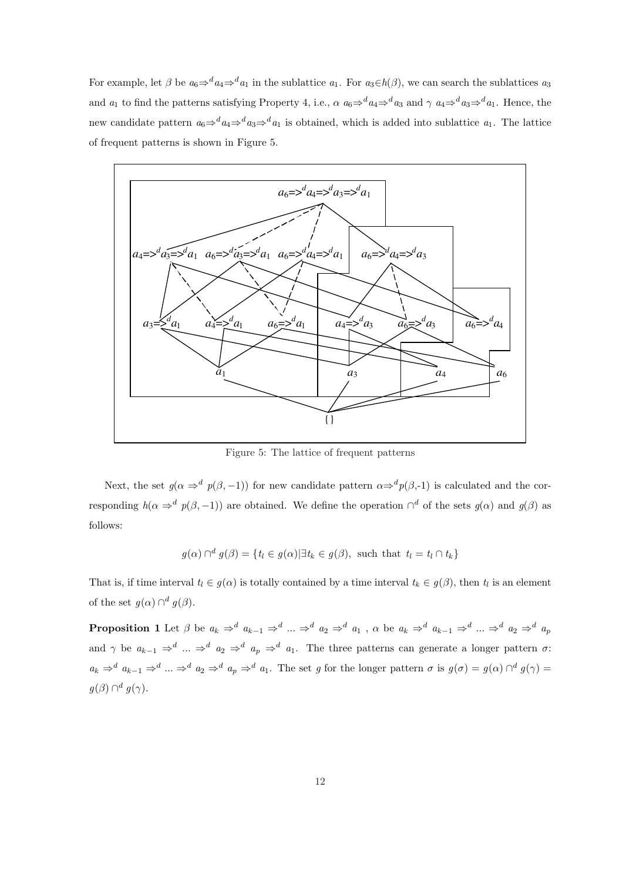For example, let  $\beta$  be  $a_6 \Rightarrow^d a_4 \Rightarrow^d a_1$  in the sublattice  $a_1$ . For  $a_3 \in h(\beta)$ , we can search the sublattices  $a_3$ and  $a_1$  to find the patterns satisfying Property 4, i.e.,  $\alpha a_6 \Rightarrow^d a_4 \Rightarrow^d a_3$  and  $\gamma a_4 \Rightarrow^d a_3 \Rightarrow^d a_1$ . Hence, the new candidate pattern  $a_6 \Rightarrow^d a_4 \Rightarrow^d a_3 \Rightarrow^d a_1$  is obtained, which is added into sublattice  $a_1$ . The lattice of frequent patterns is shown in Figure 5.



Figure 5: The lattice of frequent patterns

Next, the set  $g(\alpha \Rightarrow^d p(\beta, -1))$  for new candidate pattern  $\alpha \Rightarrow^d p(\beta, -1)$  is calculated and the corresponding  $h(\alpha \Rightarrow^d p(\beta, -1))$  are obtained. We define the operation  $\bigcap^d$  of the sets  $g(\alpha)$  and  $g(\beta)$  as follows:

$$
g(\alpha) \cap^d g(\beta) = \{t_l \in g(\alpha) | \exists t_k \in g(\beta), \text{ such that } t_l = t_l \cap t_k\}
$$

That is, if time interval  $t_l \in g(\alpha)$  is totally contained by a time interval  $t_k \in g(\beta)$ , then  $t_l$  is an element of the set  $g(\alpha) \cap^d g(\beta)$ .

**Proposition 1** Let  $\beta$  be  $a_k \Rightarrow^d a_{k-1} \Rightarrow^d ... \Rightarrow^d a_2 \Rightarrow^d a_1$ ,  $\alpha$  be  $a_k \Rightarrow^d a_{k-1} \Rightarrow^d ... \Rightarrow^d a_2 \Rightarrow^d a_p$ and  $\gamma$  be  $a_{k-1} \Rightarrow^d \dots \Rightarrow^d a_2 \Rightarrow^d a_p \Rightarrow^d a_1$ . The three patterns can generate a longer pattern  $\sigma$ :  $a_k \Rightarrow^d a_{k-1} \Rightarrow^d ... \Rightarrow^d a_2 \Rightarrow^d a_p \Rightarrow^d a_1$ . The set g for the longer pattern  $\sigma$  is  $g(\sigma) = g(\alpha) \cap^d g(\gamma) =$  $g(\beta) \cap^d g(\gamma).$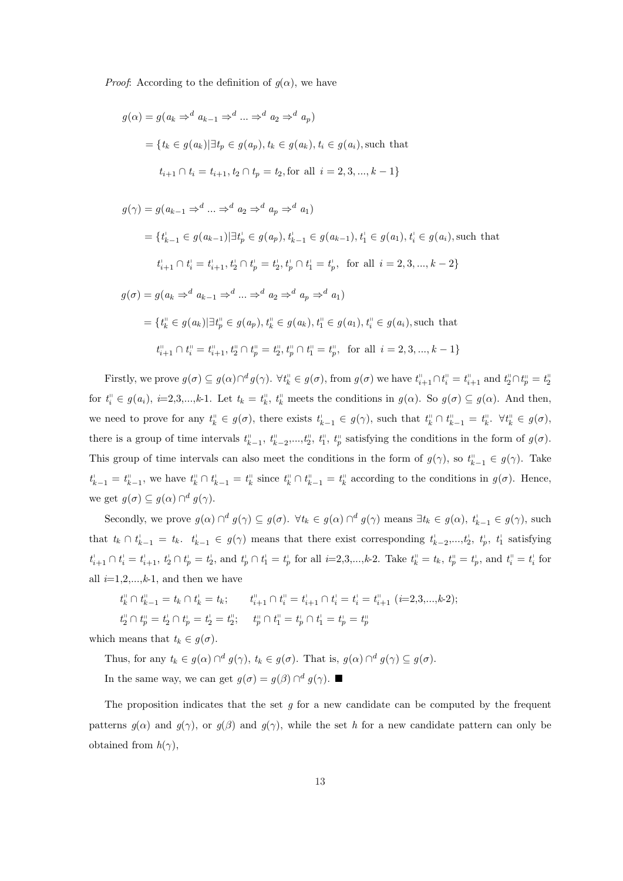*Proof*: According to the definition of  $q(\alpha)$ , we have

$$
g(\alpha) = g(a_k \Rightarrow^d a_{k-1} \Rightarrow^d \dots \Rightarrow^d a_2 \Rightarrow^d a_p)
$$
  
=  $\{t_k \in g(a_k) | \exists t_p \in g(a_p), t_k \in g(a_k), t_i \in g(a_i), \text{such that}$   
 $t_{i+1} \cap t_i = t_{i+1}, t_2 \cap t_p = t_2, \text{for all } i = 2, 3, ..., k - 1\}$ 

$$
g(\gamma) = g(a_{k-1} \Rightarrow^{d} \dots \Rightarrow^{d} a_{2} \Rightarrow^{d} a_{p} \Rightarrow^{d} a_{1})
$$
  
\n
$$
= \{t_{k-1}^{i} \in g(a_{k-1}) | \exists t_{p}^{i} \in g(a_{p}), t_{k-1}^{i} \in g(a_{k-1}), t_{1}^{i} \in g(a_{1}), t_{i}^{i} \in g(a_{i}), \text{such that}
$$
  
\n
$$
t_{i+1}^{i} \cap t_{i}^{i} = t_{i+1}^{i}, t_{2}^{i} \cap t_{p}^{i} = t_{2}^{i}, t_{p}^{i} \cap t_{1}^{i} = t_{p}^{i}, \text{ for all } i = 2, 3, ..., k-2\}
$$
  
\n
$$
g(\sigma) = g(a_{k} \Rightarrow^{d} a_{k-1} \Rightarrow^{d} \dots \Rightarrow^{d} a_{2} \Rightarrow^{d} a_{p} \Rightarrow^{d} a_{1})
$$
  
\n
$$
= \{t_{k}^{i} \in g(a_{k}) | \exists t_{p}^{i} \in g(a_{p}), t_{k}^{i} \in g(a_{k}), t_{1}^{i} \in g(a_{1}), t_{i}^{i} \in g(a_{i}), \text{such that}
$$
  
\n
$$
t_{i+1}^{i} \cap t_{i}^{i} = t_{i+1}^{i}, t_{2}^{i} \cap t_{p}^{i} = t_{2}^{i}, t_{p}^{i} \cap t_{1}^{i} = t_{p}^{i}, \text{ for all } i = 2, 3, ..., k-1\}
$$

Firstly, we prove  $g(\sigma) \subseteq g(\alpha) \cap^d g(\gamma)$ .  $\forall t_k^{\text{ii}} \in g(\sigma)$ , from  $g(\sigma)$  we have  $t_{i+1}^{\text{ii}} \cap t_i^{\text{ii}} = t_{i+1}^{\text{ii}}$  and  $t_2^{\text{ii}} \cap t_p^{\text{ii}} = t_2^{\text{ii}}$ for  $t_i^{\text{in}} \in g(a_i)$ ,  $i=2,3,\ldots,k-1$ . Let  $t_k = t_k^{\text{in}}$ ,  $t_k^{\text{in}}$  meets the conditions in  $g(\alpha)$ . So  $g(\sigma) \subseteq g(\alpha)$ . And then, we need to prove for any  $t_k^{\text{II}} \in g(\sigma)$ , there exists  $t_{k-1}^{\text{I}} \in g(\gamma)$ , such that  $t_k^{\text{II}} \cap t_{k-1}^{\text{II}} = t_k^{\text{II}}$ .  $\forall t_k^{\text{II}} \in g(\sigma)$ , there is a group of time intervals  $t_{k-1}^{\text{II}}, t_{k-2}^{\text{II}}, \ldots, t_2^{\text{II}}, t_1^{\text{II}}, t_p^{\text{II}}$  satisfying the conditions in the form of  $g(\sigma)$ . This group of time intervals can also meet the conditions in the form of  $g(\gamma)$ , so  $t_{k-1}^{\shortparallel} \in g(\gamma)$ . Take  $t_{k-1}^{\dagger} = t_{k-1}^{\dagger}$ , we have  $t_k^{\dagger} \cap t_{k-1}^{\dagger} = t_k^{\dagger}$  since  $t_k^{\dagger} \cap t_{k-1}^{\dagger} = t_k^{\dagger}$  according to the conditions in  $g(\sigma)$ . Hence, we get  $g(\sigma) \subseteq g(\alpha) \cap^d g(\gamma)$ .

Secondly, we prove  $g(\alpha) \cap^d g(\gamma) \subseteq g(\sigma)$ .  $\forall t_k \in g(\alpha) \cap^d g(\gamma)$  means  $\exists t_k \in g(\alpha)$ ,  $t_{k-1} \in g(\gamma)$ , such that  $t_k \cap t_{k-1}^{\perp} = t_k$ .  $t_{k-1}^{\perp} \in g(\gamma)$  means that there exist corresponding  $t_{k-2}^{\perp},...,t_2^{\perp}, t_1^{\perp}$  satisfying  $t_{i+1}^{\perp} \cap t_i^{\perp} = t_{i+1}^{\perp}, t_2^{\perp} \cap t_p^{\perp} = t_2^{\perp}, \text{ and } t_p^{\perp} \cap t_1^{\perp} = t_p^{\perp} \text{ for all } i=2,3,...,k\text{-}2. \text{ Take } t_k^{\perp} = t_k, t_p^{\perp} = t_p^{\perp}, \text{ and } t_i^{\perp} = t_i^{\perp} \text{ for all } i=2,3,...,k\text{-}2.$ all  $i=1,2,...,k-1$ , and then we have

$$
t_k^{\shortparallel} \cap t_{k-1}^{\shortparallel} = t_k \cap t_k^{\shortparallel} = t_k; \qquad t_{i+1}^{\shortparallel} \cap t_i^{\shortparallel} = t_{i+1}^{\shortparallel} \cap t_i^{\shortparallel} = t_i^{\shortparallel} = t_{i+1}^{\shortparallel} \ (i=2,3,...,k\text{-}2);
$$
  

$$
t_2^{\shortparallel} \cap t_p^{\shortparallel} = t_2^{\shortparallel} \cap t_2^{\shortparallel} = t_2^{\shortparallel}; \qquad t_p^{\shortparallel} \cap t_1^{\shortparallel} = t_p^{\shortparallel} \cap t_1^{\shortparallel} = t_p^{\shortparallel} = t_p^{\shortparallel}
$$

which means that  $t_k \in g(\sigma)$ .

Thus, for any  $t_k \in g(\alpha) \cap^d g(\gamma)$ ,  $t_k \in g(\sigma)$ . That is,  $g(\alpha) \cap^d g(\gamma) \subseteq g(\sigma)$ .

In the same way, we can get  $g(\sigma) = g(\beta) \cap^d g(\gamma)$ .

The proposition indicates that the set  $g$  for a new candidate can be computed by the frequent patterns  $g(\alpha)$  and  $g(\gamma)$ , or  $g(\beta)$  and  $g(\gamma)$ , while the set h for a new candidate pattern can only be obtained from  $h(\gamma)$ ,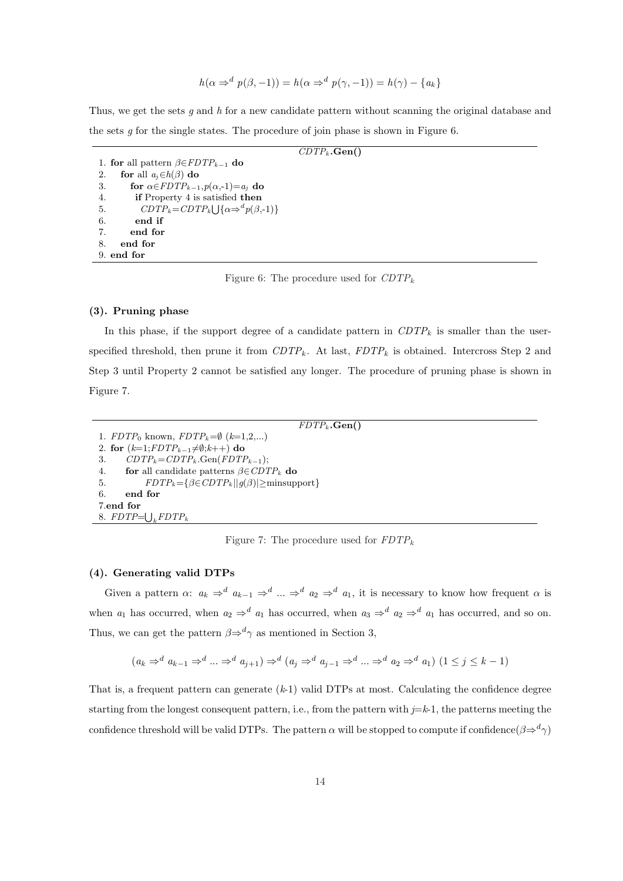$$
h(\alpha \Rightarrow^d p(\beta, -1)) = h(\alpha \Rightarrow^d p(\gamma, -1)) = h(\gamma) - \{a_k\}
$$

Thus, we get the sets q and h for a new candidate pattern without scanning the original database and the sets  $g$  for the single states. The procedure of join phase is shown in Figure 6.

 $CDTP_k$ **.Gen()** 1. for all pattern  $\beta \in FDTP_{k-1}$  do 2. for all  $a_j \in h(\beta)$  do 3. for  $\alpha \in FDTP_{k-1}, p(\alpha, -1)=a_j$  do 4. **if** Property 4 is satisfied **then** 5.  $CDTP_k = CDTP_k \cup {\alpha \Rightarrow^d p(\beta, -1)}$ 6. end if 7. end for 8. end for 9. end for

Figure 6: The procedure used for  $CDTP_k$ 

#### (3). Pruning phase

In this phase, if the support degree of a candidate pattern in  $CDTP_k$  is smaller than the userspecified threshold, then prune it from  $CDTP_k$ . At last,  $FDTP_k$  is obtained. Intercross Step 2 and Step 3 until Property 2 cannot be satisfied any longer. The procedure of pruning phase is shown in Figure 7.

 $FDTP_k$ **.Gen()** 1.  $FDTP_0$  known,  $FDTP_k=\emptyset$   $(k=1,2,...)$ 2. for  $(k=1; FDTP_{k-1}\neq\emptyset; k++)$  do 3.  $CDTP_k = CDTP_k$ . Gen( $FDTP_{k-1}$ ); 4. for all candidate patterns  $\beta \in CDTP_k$  do 5.  $FDTP_k = \{ \beta \in CDTP_k | |g(\beta)| \ge \text{minsupport} \}$ 6. end for 7.end for 8.  $FDTP=\bigcup_k FDTP_k$ 

Figure 7: The procedure used for  $FDTP_k$ 

#### (4). Generating valid DTPs

Given a pattern  $\alpha: a_k \Rightarrow^d a_{k-1} \Rightarrow^d ... \Rightarrow^d a_2 \Rightarrow^d a_1$ , it is necessary to know how frequent  $\alpha$  is when  $a_1$  has occurred, when  $a_2 \Rightarrow^d a_1$  has occurred, when  $a_3 \Rightarrow^d a_2 \Rightarrow^d a_1$  has occurred, and so on. Thus, we can get the pattern  $\beta \Rightarrow^d \gamma$  as mentioned in Section 3,

$$
(a_k \Rightarrow^d a_{k-1} \Rightarrow^d \dots \Rightarrow^d a_{j+1}) \Rightarrow^d (a_j \Rightarrow^d a_{j-1} \Rightarrow^d \dots \Rightarrow^d a_2 \Rightarrow^d a_1) (1 \leq j \leq k-1)
$$

That is, a frequent pattern can generate  $(k-1)$  valid DTPs at most. Calculating the confidence degree starting from the longest consequent pattern, i.e., from the pattern with  $j=k-1$ , the patterns meeting the confidence threshold will be valid DTPs. The pattern  $\alpha$  will be stopped to compute if confidence( $\beta \Rightarrow^d \gamma$ )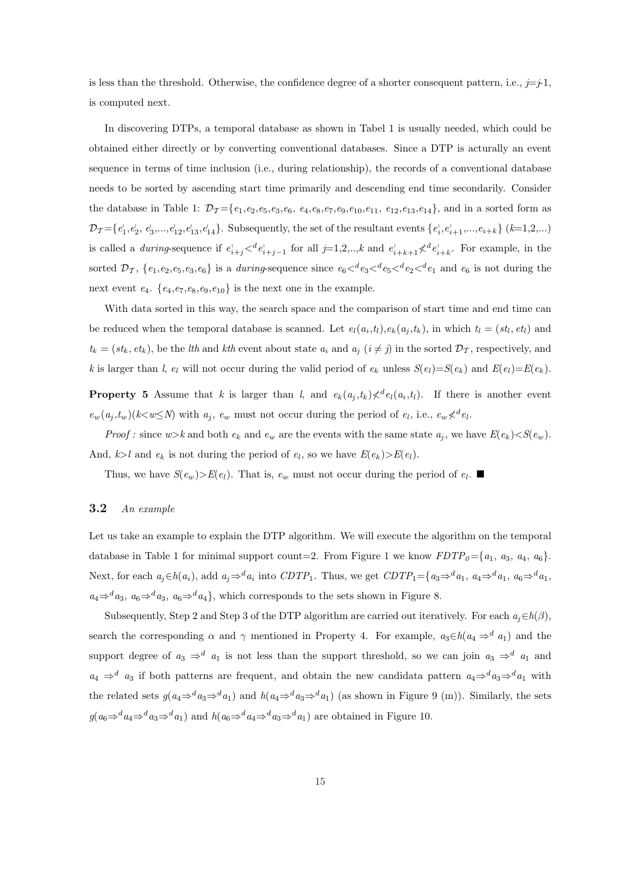is less than the threshold. Otherwise, the confidence degree of a shorter consequent pattern, i.e.,  $j = j-1$ , is computed next.

In discovering DTPs, a temporal database as shown in Tabel 1 is usually needed, which could be obtained either directly or by converting conventional databases. Since a DTP is acturally an event sequence in terms of time inclusion (i.e., during relationship), the records of a conventional database needs to be sorted by ascending start time primarily and descending end time secondarily. Consider the database in Table 1:  $\mathcal{D}_T = \{e_1, e_2, e_5, e_3, e_6, e_4, e_8, e_7, e_9, e_{10}, e_{11}, e_{12}, e_{13}, e_{14}\}$ , and in a sorted form as  $\mathcal{D}_{\mathcal{T}} = \{e_1^{\dagger}, e_2^{\dagger}, e_3^{\dagger}, \ldots, e_{12}^{\dagger}, e_{13}^{\dagger}, e_{14}^{\dagger}\}$ . Subsequently, the set of the resultant events  $\{e_i^{\dagger}, e_{i+1}^{\dagger}, \ldots, e_{i+k}\}$  ( $k=1,2,\ldots$ ) is called a *during*-sequence if  $e_{i+j}^{\perp} <^d e_{i+j-1}^{\perp}$  for all  $j=1,2,..,k$  and  $e_{i+k+1}^{\perp} <^d e_{i+k}^{\perp}$ . For example, in the sorted  $\mathcal{D}_{\mathcal{T}}$ ,  $\{e_1,e_2,e_5,e_3,e_6\}$  is a *during*-sequence since  $e_6\lt^d e_3\lt^d e_5\lt^d e_2\lt^d e_1$  and  $e_6$  is not during the next event  $e_4$ .  $\{e_4, e_7, e_8, e_9, e_{10}\}$  is the next one in the example.

With data sorted in this way, the search space and the comparison of start time and end time can be reduced when the temporal database is scanned. Let  $e_l(a_i,t_l), e_k(a_j,t_k)$ , in which  $t_l = (st_l, et_l)$  and  $t_k = (st_k, et_k)$ , be the *lth* and *kth* event about state  $a_i$  and  $a_j$   $(i \neq j)$  in the sorted  $\mathcal{D}_{\mathcal{T}}$ , respectively, and k is larger than l,  $e_l$  will not occur during the valid period of  $e_k$  unless  $S(e_l)=S(e_k)$  and  $E(e_l)=E(e_k)$ .

**Property 5** Assume that k is larger than l, and  $e_k(a_j, t_k) \nless^d e_l(a_i, t_l)$ . If there is another event  $e_w(a_j, t_w) (k \lt w \leq N)$  with  $a_j$ ,  $e_w$  must not occur during the period of  $e_l$ , i.e.,  $e_w \not\lt^d e_l$ .

*Proof :* since  $w > k$  and both  $e_k$  and  $e_w$  are the events with the same state  $a_j$ , we have  $E(e_k) < S(e_w)$ . And,  $k>l$  and  $e_k$  is not during the period of  $e_l$ , so we have  $E(e_k) > E(e_l)$ .

Thus, we have  $S(e_w) > E(e_l)$ . That is,  $e_w$  must not occur during the period of  $e_l$ .

#### $3.2$  An example

Let us take an example to explain the DTP algorithm. We will execute the algorithm on the temporal database in Table 1 for minimal support count=2. From Figure 1 we know  $FDTP_0=\{a_1, a_3, a_4, a_6\}.$ Next, for each  $a_j \in h(a_i)$ , add  $a_j \Rightarrow^d a_i$  into  $CDTP_1$ . Thus, we get  $CDTP_1 = \{a_3 \Rightarrow^d a_1, a_4 \Rightarrow^d a_1, a_6 \Rightarrow^d a_1, a_7 \Rightarrow^d a_2, a_8 \Rightarrow^d a_1, a_9 \Rightarrow^d a_1, a_1 \Rightarrow^d a_2, a_1 \Rightarrow^d a_2, a_2 \Rightarrow^d a_1, a_3 \Rightarrow^d a_2, a_4 \Rightarrow^d a_1, a_4 \Rightarrow^d a_2, a_5 \Rightarrow^d a_2, a_$  $a_4 \Rightarrow^d a_3$ ,  $a_6 \Rightarrow^d a_3$ ,  $a_6 \Rightarrow^d a_4$ , which corresponds to the sets shown in Figure 8.

Subsequently, Step 2 and Step 3 of the DTP algorithm are carried out iteratively. For each  $a_i \in h(\beta)$ , search the corresponding  $\alpha$  and  $\gamma$  mentioned in Property 4. For example,  $a_3 \in h(a_4 \Rightarrow^d a_1)$  and the support degree of  $a_3 \Rightarrow^d a_1$  is not less than the support threshold, so we can join  $a_3 \Rightarrow^d a_1$  and  $a_4 \Rightarrow^d a_3$  if both patterns are frequent, and obtain the new candidata pattern  $a_4 \Rightarrow^d a_3 \Rightarrow^d a_1$  with the related sets  $g(a_4 \Rightarrow^d a_3 \Rightarrow^d a_1)$  and  $h(a_4 \Rightarrow^d a_3 \Rightarrow^d a_1)$  (as shown in Figure 9 (m)). Similarly, the sets  $g(a_6 \Rightarrow^d a_4 \Rightarrow^d a_3 \Rightarrow^d a_1)$  and  $h(a_6 \Rightarrow^d a_4 \Rightarrow^d a_3 \Rightarrow^d a_1)$  are obtained in Figure 10.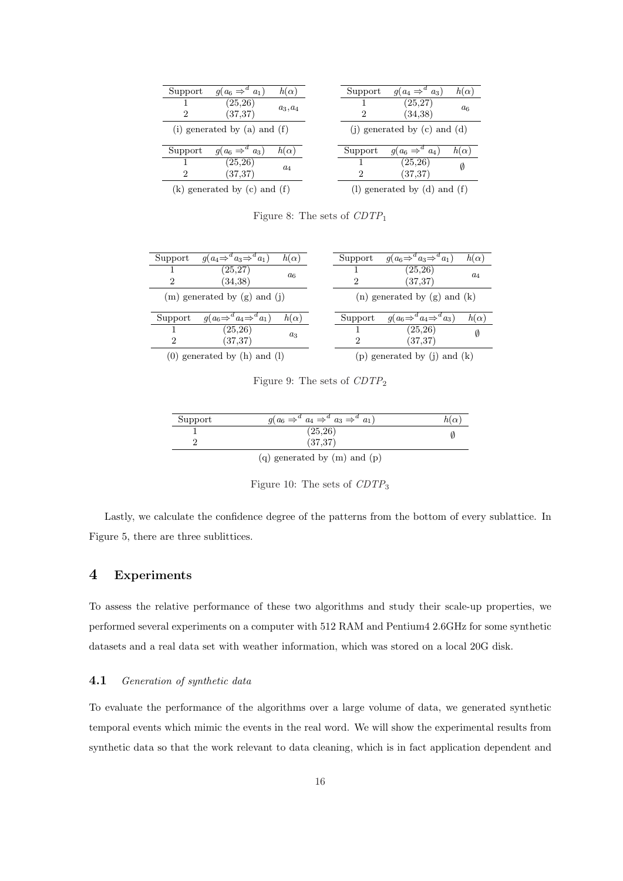| Support        | $g(a_6 \Rightarrow^d a_1)$     | $h(\alpha)$ | Support        | $g(a_4 \Rightarrow^d a_3)$       | $h(\alpha)$ |
|----------------|--------------------------------|-------------|----------------|----------------------------------|-------------|
|                | (25, 26)                       | $a_3, a_4$  |                | (25, 27)                         | $a_{6}$     |
| $\overline{2}$ | (37, 37)                       |             | $\mathfrak{D}$ | (34,38)                          |             |
|                | (i) generated by (a) and $(f)$ |             |                | (i) generated by $(c)$ and $(d)$ |             |
| Support        | $g(a_6 \Rightarrow^d a_3)$     | $h(\alpha)$ | Support        | $g(a_6 \Rightarrow^d a_4)$       | $h(\alpha)$ |
|                | (25,26)                        | $a_4$       |                | (25, 26)                         | Ø           |
| 2              | (37, 37)                       |             | $\overline{2}$ | (37, 37)                         |             |
|                |                                |             |                |                                  |             |

Figure 8: The sets of  $CDTP_1$ 

| Support | $g(a_4 \Rightarrow^d a_3 \Rightarrow^d a_1)$ | $h(\alpha)$ | Support       | $g(a_6 \Rightarrow^d a_3 \Rightarrow^d a_1)$ | $h(\alpha)$ |
|---------|----------------------------------------------|-------------|---------------|----------------------------------------------|-------------|
|         | (25, 27)                                     | $a_6$       |               | (25,26)                                      | $a_4$       |
| 2       | (34,38)                                      |             | 2             | (37, 37)                                     |             |
|         | $(m)$ generated by $(g)$ and $(i)$           |             |               | $(n)$ generated by $(g)$ and $(k)$           |             |
| Support | $g(a_6 \Rightarrow^a a_4 \Rightarrow^a a_1)$ | $h(\alpha)$ | Support       | $g(a_6 \Rightarrow^a a_4 \Rightarrow^a a_3)$ | $h(\alpha)$ |
|         | (25, 26)                                     | $a_3$       |               | (25, 26)                                     | Ø           |
| 2       | (37, 37)                                     |             | $\mathcal{D}$ | (37, 37)                                     |             |
|         | $(0)$ generated by $(h)$ and $(l)$           |             |               | (p) generated by (j) and $(k)$               |             |

Figure 9: The sets of  $CDTP_2$ 

| Support | $g(a_6 \Rightarrow^d a_4 \Rightarrow^d a_3 \Rightarrow^d a_1)$ | $h(\alpha)$ |
|---------|----------------------------------------------------------------|-------------|
|         | (25, 26)                                                       |             |
|         | (37, 37)                                                       |             |
|         | (q) generated by $(m)$ and $(p)$                               |             |

Figure 10: The sets of  $CDTP<sub>3</sub>$ 

Lastly, we calculate the confidence degree of the patterns from the bottom of every sublattice. In Figure 5, there are three sublittices.

## 4 Experiments

To assess the relative performance of these two algorithms and study their scale-up properties, we performed several experiments on a computer with 512 RAM and Pentium4 2.6GHz for some synthetic datasets and a real data set with weather information, which was stored on a local 20G disk.

## 4.1 Generation of synthetic data

To evaluate the performance of the algorithms over a large volume of data, we generated synthetic temporal events which mimic the events in the real word. We will show the experimental results from synthetic data so that the work relevant to data cleaning, which is in fact application dependent and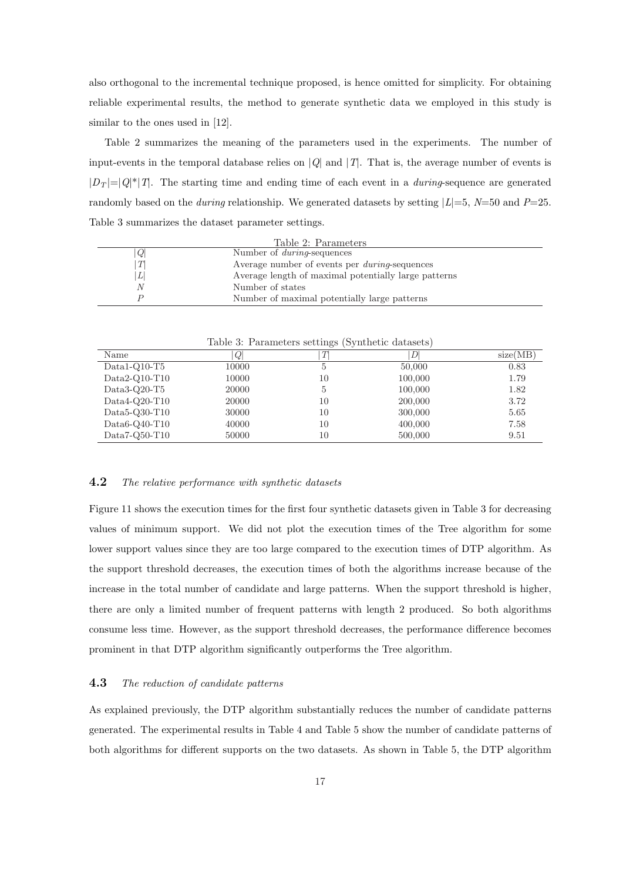also orthogonal to the incremental technique proposed, is hence omitted for simplicity. For obtaining reliable experimental results, the method to generate synthetic data we employed in this study is similar to the ones used in [12].

Table 2 summarizes the meaning of the parameters used in the experiments. The number of input-events in the temporal database relies on  $|Q|$  and  $|T|$ . That is, the average number of events is  $|D_T| = |Q^*|T|$ . The starting time and ending time of each event in a *during*-sequence are generated randomly based on the *during* relationship. We generated datasets by setting  $|L|=5$ ,  $N=50$  and  $P=25$ . Table 3 summarizes the dataset parameter settings.

|   | Table 2: Parameters                                   |
|---|-------------------------------------------------------|
| Q | Number of <i>during</i> -sequences                    |
| Т | Average number of events per <i>during</i> -sequences |
| L | Average length of maximal potentially large patterns  |
| N | Number of states                                      |
|   | Number of maximal potentially large patterns          |

|                   |       | Lable 5. Lafameters settings (Synthetic datasets) |         |          |
|-------------------|-------|---------------------------------------------------|---------|----------|
| Name              | Q     | Т                                                 | D       | size(MB) |
| $Data1-O10-T5$    | 10000 | 5                                                 | 50,000  | 0.83     |
| $Data2-Q10-T10$   | 10000 | 10                                                | 100,000 | 1.79     |
| $Data3-Q20-T5$    | 20000 | 5                                                 | 100,000 | 1.82     |
| $Data4-Q20-T10$   | 20000 | 10                                                | 200,000 | 3.72     |
| $Data5-Q30-T10$   | 30000 | 10                                                | 300,000 | 5.65     |
| Data6- $Q40$ -T10 | 40000 | 10                                                | 400,000 | 7.58     |
| $Data7-Q50-T10$   | 50000 | 10                                                | 500,000 | 9.51     |

Table 3: Parameters settings (Synthetic datasets)

#### **4.2** The relative performance with synthetic datasets

Figure 11 shows the execution times for the first four synthetic datasets given in Table 3 for decreasing values of minimum support. We did not plot the execution times of the Tree algorithm for some lower support values since they are too large compared to the execution times of DTP algorithm. As the support threshold decreases, the execution times of both the algorithms increase because of the increase in the total number of candidate and large patterns. When the support threshold is higher, there are only a limited number of frequent patterns with length 2 produced. So both algorithms consume less time. However, as the support threshold decreases, the performance difference becomes prominent in that DTP algorithm significantly outperforms the Tree algorithm.

#### **4.3** The reduction of candidate patterns

As explained previously, the DTP algorithm substantially reduces the number of candidate patterns generated. The experimental results in Table 4 and Table 5 show the number of candidate patterns of both algorithms for different supports on the two datasets. As shown in Table 5, the DTP algorithm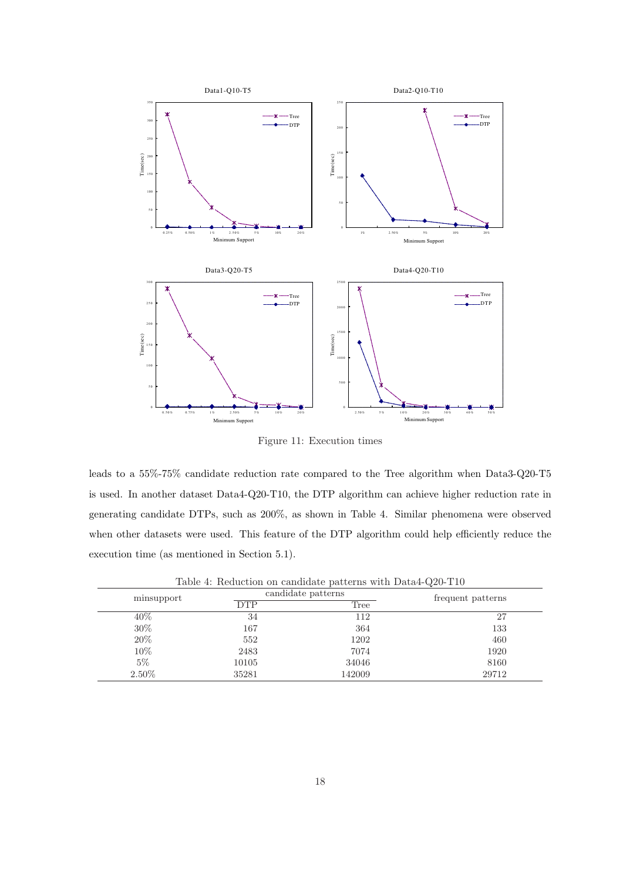

Figure 11: Execution times

leads to a 55%-75% candidate reduction rate compared to the Tree algorithm when Data3-Q20-T5 is used. In another dataset Data4-Q20-T10, the DTP algorithm can achieve higher reduction rate in generating candidate DTPs, such as 200%, as shown in Table 4. Similar phenomena were observed when other datasets were used. This feature of the DTP algorithm could help efficiently reduce the execution time (as mentioned in Section 5.1).

|            |            | $\overline{\phantom{a}}$ |                   |
|------------|------------|--------------------------|-------------------|
| minsupport |            | candidate patterns       | frequent patterns |
|            | <b>DTP</b> | Tree                     |                   |
| 40\%       | 34         | 112                      | 27                |
| 30\%       | 167        | 364                      | 133               |
| 20%        | 552        | 1202                     | 460               |
| 10%        | 2483       | 7074                     | 1920              |
| $5\%$      | 10105      | 34046                    | 8160              |
| 2.50%      | 35281      | 142009                   | 29712             |

Table 4: Reduction on candidate patterns with Data4-Q20-T10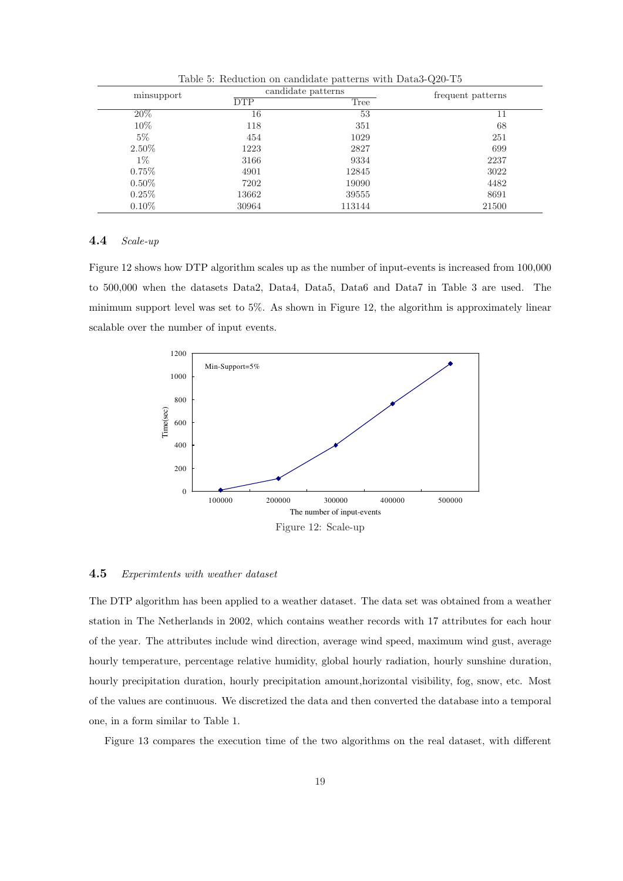| minsupport |            | candidate patterns | frequent patterns |
|------------|------------|--------------------|-------------------|
|            | <b>DTP</b> | Tree               |                   |
| 20%        | 16         | 53                 | 11                |
| 10%        | 118        | 351                | 68                |
| $5\%$      | 454        | 1029               | 251               |
| 2.50%      | 1223       | 2827               | 699               |
| $1\%$      | 3166       | 9334               | 2237              |
| $0.75\%$   | 4901       | 12845              | 3022              |
| $0.50\%$   | 7202       | 19090              | 4482              |
| $0.25\%$   | 13662      | 39555              | 8691              |
| $0.10\%$   | 30964      | 113144             | 21500             |

Table 5: Reduction on candidate patterns with Data3-Q20-T5

#### 4.4 Scale-up

Figure 12 shows how DTP algorithm scales up as the number of input-events is increased from 100,000 to 500,000 when the datasets Data2, Data4, Data5, Data6 and Data7 in Table 3 are used. The minimum support level was set to 5%. As shown in Figure 12, the algorithm is approximately linear scalable over the number of input events.



#### 4.5 Experimtents with weather dataset

The DTP algorithm has been applied to a weather dataset. The data set was obtained from a weather station in The Netherlands in 2002, which contains weather records with 17 attributes for each hour of the year. The attributes include wind direction, average wind speed, maximum wind gust, average hourly temperature, percentage relative humidity, global hourly radiation, hourly sunshine duration, hourly precipitation duration, hourly precipitation amount,horizontal visibility, fog, snow, etc. Most of the values are continuous. We discretized the data and then converted the database into a temporal one, in a form similar to Table 1.

Figure 13 compares the execution time of the two algorithms on the real dataset, with different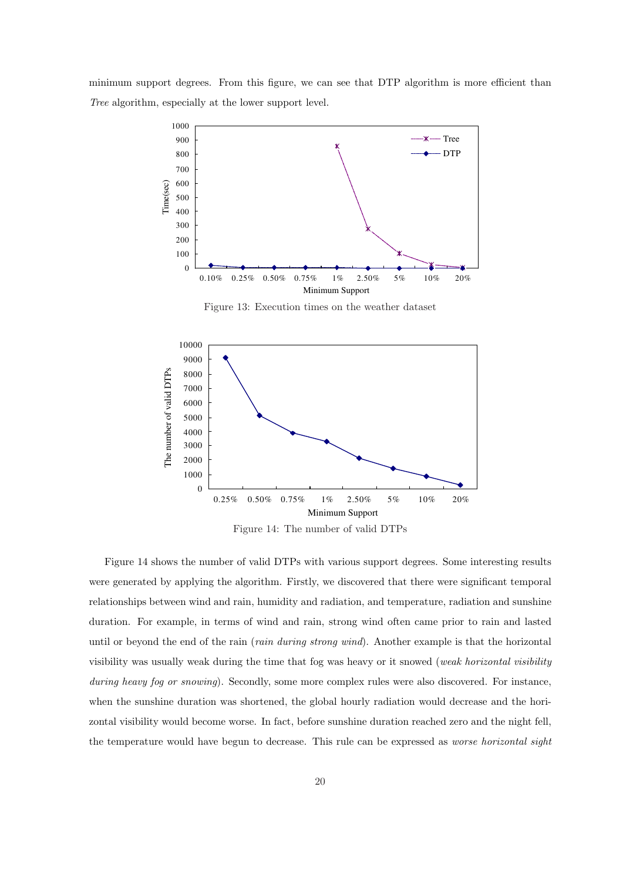minimum support degrees. From this figure, we can see that DTP algorithm is more efficient than Tree algorithm, especially at the lower support level.



Figure 13: Execution times on the weather dataset



Figure 14 shows the number of valid DTPs with various support degrees. Some interesting results were generated by applying the algorithm. Firstly, we discovered that there were significant temporal relationships between wind and rain, humidity and radiation, and temperature, radiation and sunshine duration. For example, in terms of wind and rain, strong wind often came prior to rain and lasted until or beyond the end of the rain (rain during strong wind). Another example is that the horizontal visibility was usually weak during the time that fog was heavy or it snowed (weak horizontal visibility during heavy fog or snowing). Secondly, some more complex rules were also discovered. For instance, when the sunshine duration was shortened, the global hourly radiation would decrease and the horizontal visibility would become worse. In fact, before sunshine duration reached zero and the night fell, the temperature would have begun to decrease. This rule can be expressed as *worse horizontal sight*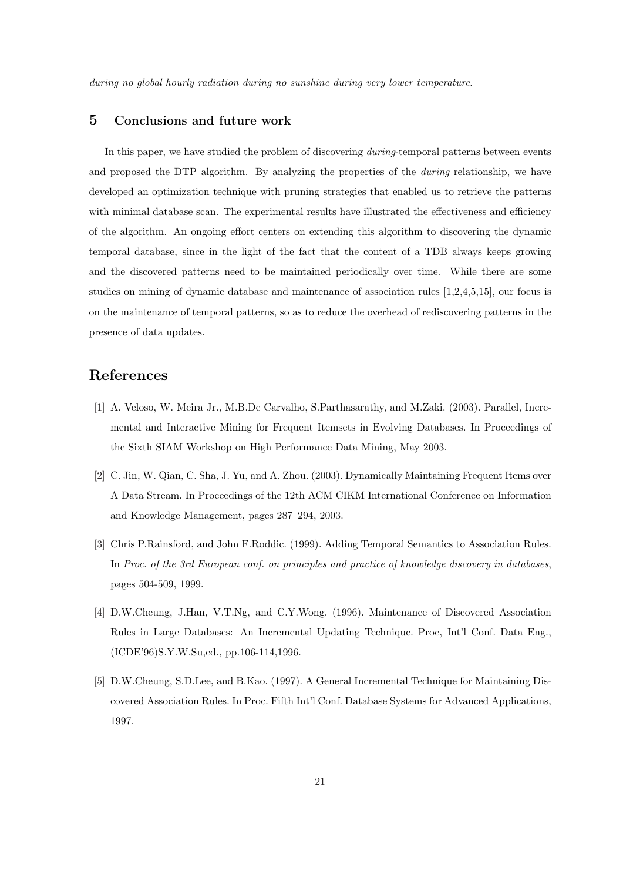during no global hourly radiation during no sunshine during very lower temperature.

## 5 Conclusions and future work

In this paper, we have studied the problem of discovering *during*-temporal patterns between events and proposed the DTP algorithm. By analyzing the properties of the *during* relationship, we have developed an optimization technique with pruning strategies that enabled us to retrieve the patterns with minimal database scan. The experimental results have illustrated the effectiveness and efficiency of the algorithm. An ongoing effort centers on extending this algorithm to discovering the dynamic temporal database, since in the light of the fact that the content of a TDB always keeps growing and the discovered patterns need to be maintained periodically over time. While there are some studies on mining of dynamic database and maintenance of association rules [1,2,4,5,15], our focus is on the maintenance of temporal patterns, so as to reduce the overhead of rediscovering patterns in the presence of data updates.

## References

- [1] A. Veloso, W. Meira Jr., M.B.De Carvalho, S.Parthasarathy, and M.Zaki. (2003). Parallel, Incremental and Interactive Mining for Frequent Itemsets in Evolving Databases. In Proceedings of the Sixth SIAM Workshop on High Performance Data Mining, May 2003.
- [2] C. Jin, W. Qian, C. Sha, J. Yu, and A. Zhou. (2003). Dynamically Maintaining Frequent Items over A Data Stream. In Proceedings of the 12th ACM CIKM International Conference on Information and Knowledge Management, pages 287–294, 2003.
- [3] Chris P.Rainsford, and John F.Roddic. (1999). Adding Temporal Semantics to Association Rules. In Proc. of the 3rd European conf. on principles and practice of knowledge discovery in databases, pages 504-509, 1999.
- [4] D.W.Cheung, J.Han, V.T.Ng, and C.Y.Wong. (1996). Maintenance of Discovered Association Rules in Large Databases: An Incremental Updating Technique. Proc, Int'l Conf. Data Eng., (ICDE'96)S.Y.W.Su,ed., pp.106-114,1996.
- [5] D.W.Cheung, S.D.Lee, and B.Kao. (1997). A General Incremental Technique for Maintaining Discovered Association Rules. In Proc. Fifth Int'l Conf. Database Systems for Advanced Applications, 1997.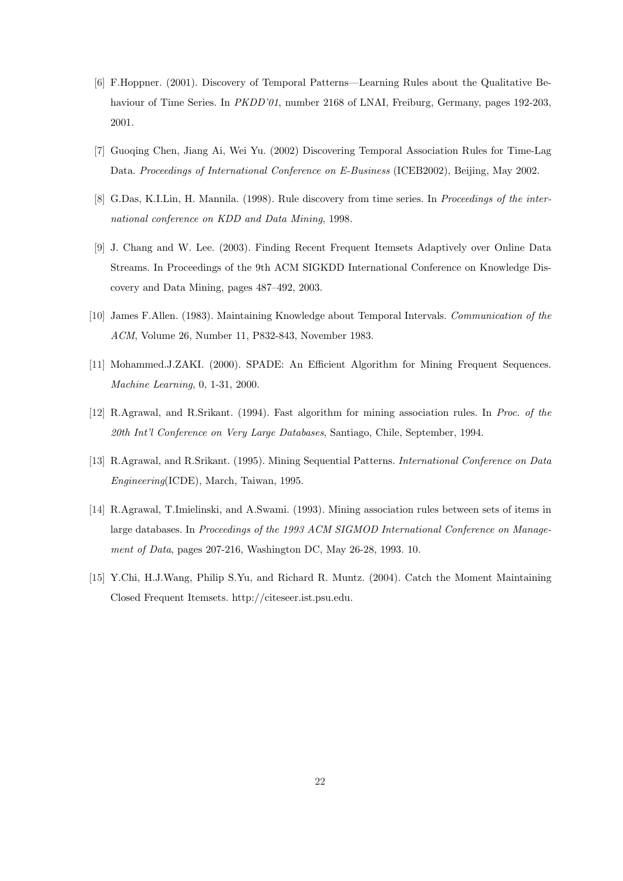- [6] F.Hoppner. (2001). Discovery of Temporal Patterns—Learning Rules about the Qualitative Behaviour of Time Series. In *PKDD'01*, number 2168 of LNAI, Freiburg, Germany, pages 192-203, 2001.
- [7] Guoqing Chen, Jiang Ai, Wei Yu. (2002) Discovering Temporal Association Rules for Time-Lag Data. Proceedings of International Conference on E-Business (ICEB2002), Beijing, May 2002.
- [8] G.Das, K.I.Lin, H. Mannila. (1998). Rule discovery from time series. In Proceedings of the international conference on KDD and Data Mining, 1998.
- [9] J. Chang and W. Lee. (2003). Finding Recent Frequent Itemsets Adaptively over Online Data Streams. In Proceedings of the 9th ACM SIGKDD International Conference on Knowledge Discovery and Data Mining, pages 487–492, 2003.
- [10] James F.Allen. (1983). Maintaining Knowledge about Temporal Intervals. Communication of the ACM, Volume 26, Number 11, P832-843, November 1983.
- [11] Mohammed.J.ZAKI. (2000). SPADE: An Efficient Algorithm for Mining Frequent Sequences. Machine Learning, 0, 1-31, 2000.
- [12] R.Agrawal, and R.Srikant. (1994). Fast algorithm for mining association rules. In Proc. of the 20th Int'l Conference on Very Large Databases, Santiago, Chile, September, 1994.
- [13] R.Agrawal, and R.Srikant. (1995). Mining Sequential Patterns. International Conference on Data Engineering(ICDE), March, Taiwan, 1995.
- [14] R.Agrawal, T.Imielinski, and A.Swami. (1993). Mining association rules between sets of items in large databases. In Proceedings of the 1993 ACM SIGMOD International Conference on Management of Data, pages 207-216, Washington DC, May 26-28, 1993. 10.
- [15] Y.Chi, H.J.Wang, Philip S.Yu, and Richard R. Muntz. (2004). Catch the Moment Maintaining Closed Frequent Itemsets. http://citeseer.ist.psu.edu.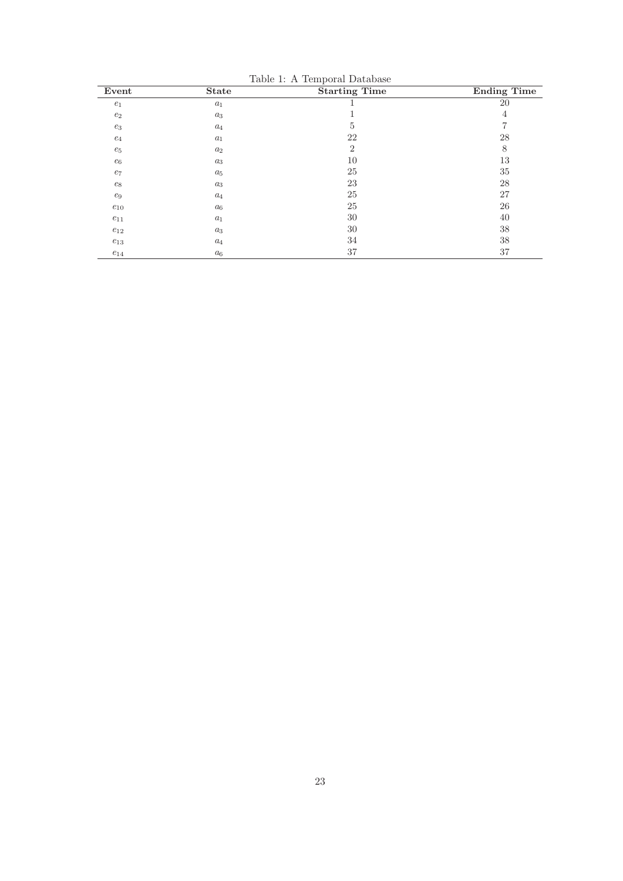| Event               | <b>State</b>     | <b>Starting Time</b> | <b>Ending Time</b> |
|---------------------|------------------|----------------------|--------------------|
| $e_1$               | $\mathfrak{a}_1$ |                      | 20                 |
| $\mathfrak{e}_2$    | $a_3$            |                      | $\overline{4}$     |
| $e_3$               | $a_4$            | 5                    | 7                  |
| $e_4$               | $a_1$            | 22                   | 28                 |
| $e_5$               | $a_2$            | $\overline{2}$       | 8                  |
| $\mathfrak{e}_6$    | $a_3$            | 10                   | 13                 |
| $e_7$               | $a_5$            | 25                   | $35\,$             |
| $\mathfrak{e}_8$    | $a_3$            | 23                   | 28                 |
| $\mathfrak{e}_9$    | $a_4$            | $25\,$               | 27                 |
| $e_{10}$            | $a_6$            | 25                   | 26                 |
| $e_{11}$            | $a_1$            | 30                   | 40                 |
| $e_{12}$            | $a_3$            | 30                   | 38                 |
| $\mathfrak{e}_{13}$ | $a_4$            | 34                   | 38                 |
| $e_{14}$            | $a_6$            | 37                   | 37                 |

Table 1: A Temporal Database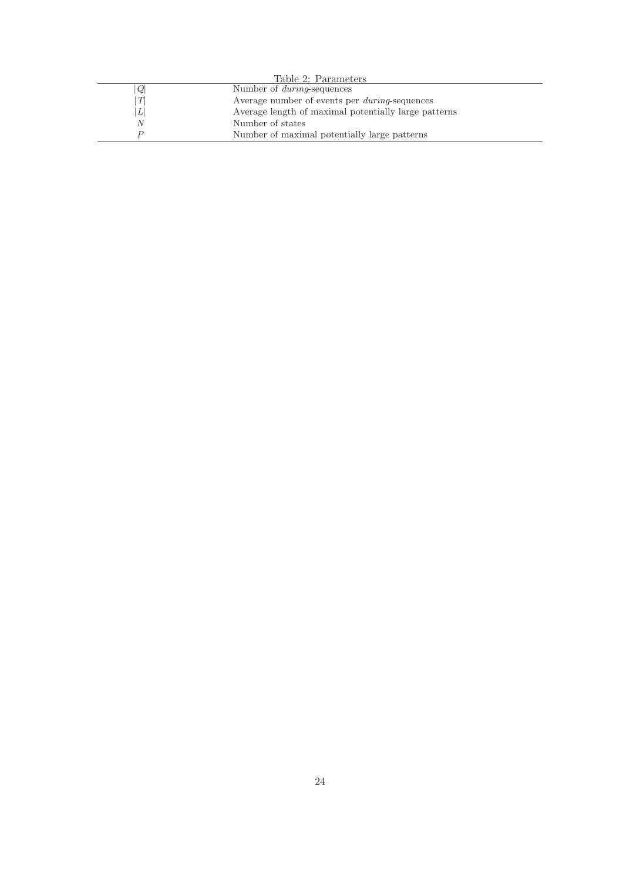|   | Table 2: Parameters                                  |  |
|---|------------------------------------------------------|--|
| Q | Number of <i>during</i> -sequences                   |  |
| T | Average number of events per <i>during-sequences</i> |  |
| L | Average length of maximal potentially large patterns |  |
| N | Number of states                                     |  |
|   | Number of maximal potentially large patterns         |  |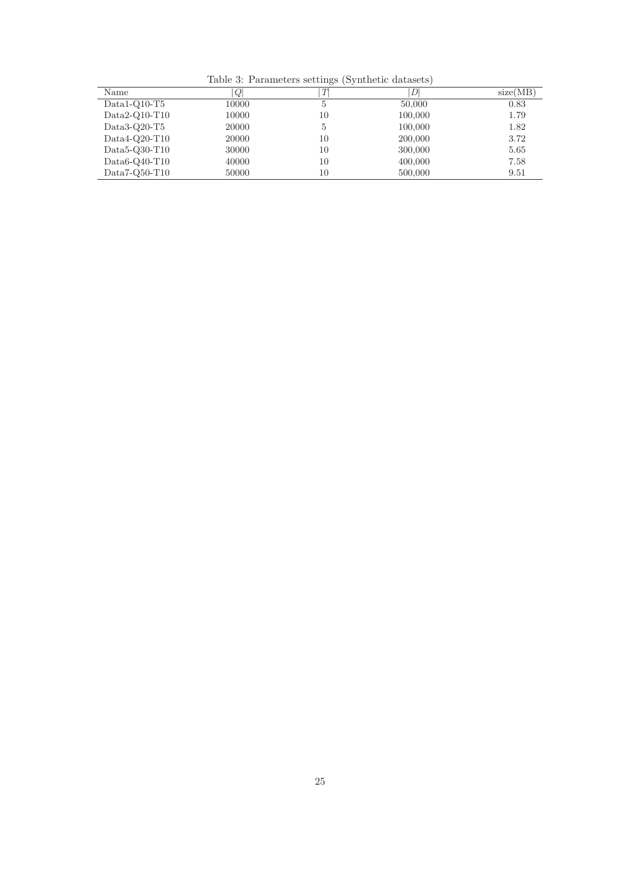Table 3: Parameters settings (Synthetic datasets)

| Name             | Q     | T  | DI      | size(MB) |
|------------------|-------|----|---------|----------|
| $Data1-O10-T5$   | 10000 | ð  | 50,000  | 0.83     |
| $Data2-Q10-T10$  | 10000 | 10 | 100,000 | 1.79     |
| Data3-Q20-T5     | 20000 | 5  | 100,000 | 1.82     |
| $Data4-O20-T10$  | 20000 | 10 | 200,000 | 3.72     |
| Data5- $Q30-T10$ | 30000 | 10 | 300,000 | 5.65     |
| $Data6-Q40-T10$  | 40000 | 10 | 400,000 | 7.58     |
| $Data7-Q50-T10$  | 50000 | 10 | 500,000 | 9.51     |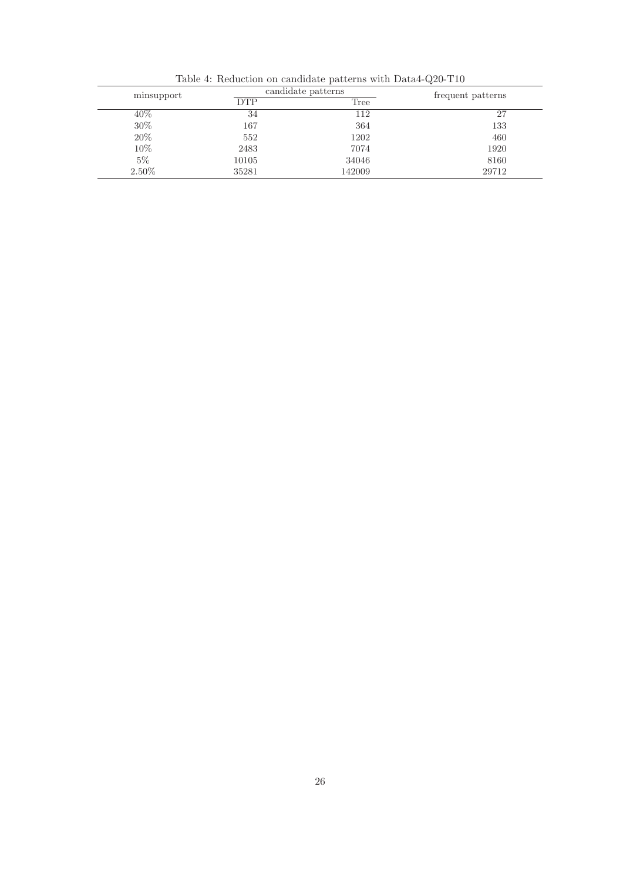| minsupport | candidate patterns | frequent patterns |       |
|------------|--------------------|-------------------|-------|
|            | <b>DTP</b>         | Tree              |       |
| $40\%$     | 34                 | 112               | 27    |
| $30\%$     | 167                | 364               | 133   |
| 20%        | 552                | 1202              | 460   |
| 10%        | 2483               | 7074              | 1920  |
| $5\%$      | 10105              | 34046             | 8160  |
| 2.50\%     | 35281              | 142009            | 29712 |

Table 4: Reduction on candidate patterns with Data4-Q20-T10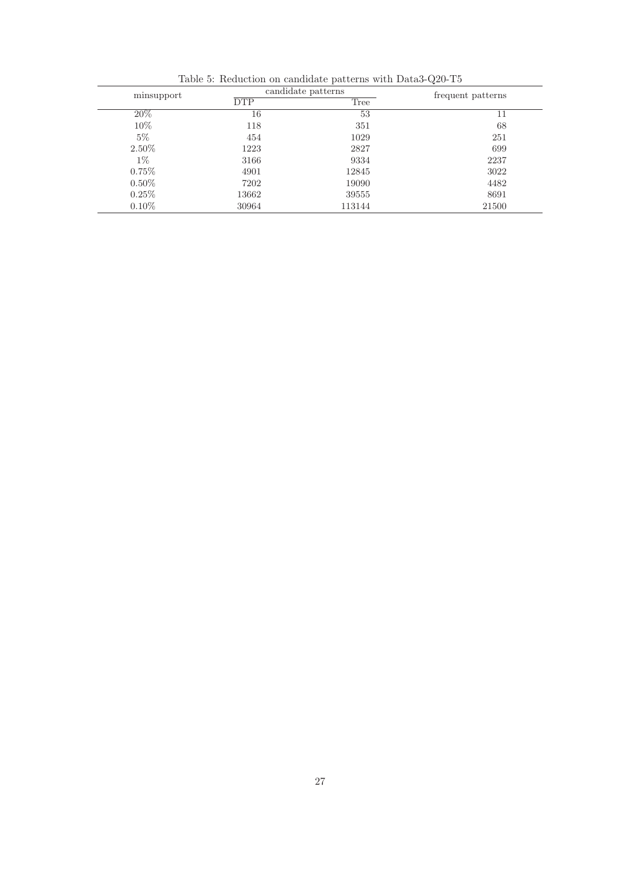| minsupport | candidate patterns | frequent patterns |       |
|------------|--------------------|-------------------|-------|
|            | <b>DTP</b>         | Tree              |       |
| 20%        | 16                 | 53                | 11    |
| $10\%$     | 118                | 351               | 68    |
| $5\%$      | 454                | 1029              | 251   |
| $2.50\%$   | 1223               | 2827              | 699   |
| $1\%$      | 3166               | 9334              | 2237  |
| $0.75\%$   | 4901               | 12845             | 3022  |
| $0.50\%$   | 7202               | 19090             | 4482  |
| $0.25\%$   | 13662              | 39555             | 8691  |
| $0.10\%$   | 30964              | 113144            | 21500 |

Table 5: Reduction on candidate patterns with Data3-Q20-T5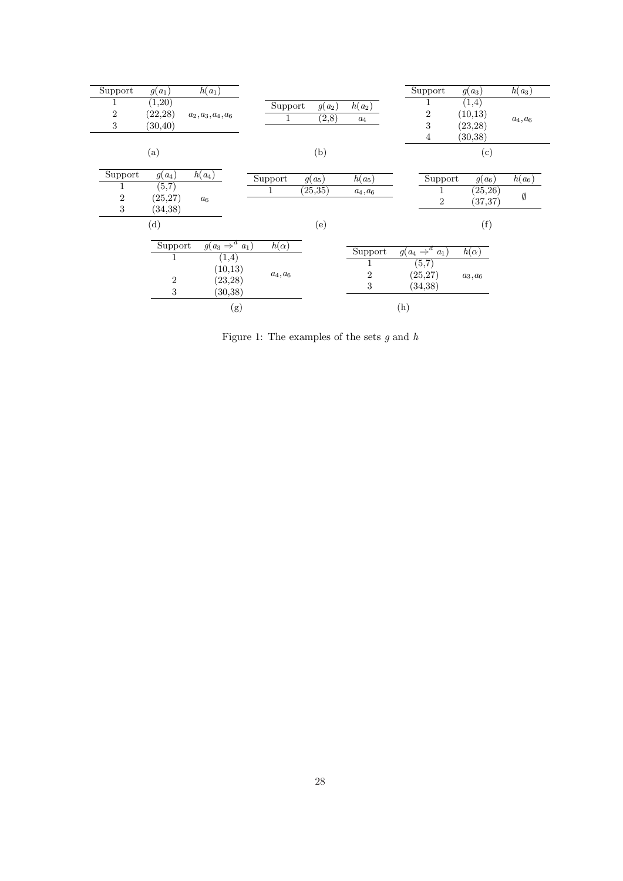| Support          | $g(a_1)$                 | $h(a_1)$                   |             |          |                  | Support                    | $g(a_3)$    | $h(a_3)$    |
|------------------|--------------------------|----------------------------|-------------|----------|------------------|----------------------------|-------------|-------------|
| 1                | (1,20)                   |                            | Support     | $g(a_2)$ | $h(a_2)$         |                            | (1,4)       |             |
| $\,2$            | (22, 28)                 | $a_2, a_3, a_4, a_6$       | 1           | (2,8)    |                  | $\,2$                      | (10, 13)    |             |
| $\sqrt{3}$       | (30, 40)                 |                            |             |          | $a_4$            | 3                          | (23, 28)    | $a_4, a_6$  |
|                  |                          |                            |             |          |                  | 4                          | (30, 38)    |             |
|                  | $\left( \text{a}\right)$ |                            |             | (b)      |                  |                            | (c)         |             |
|                  |                          |                            |             |          |                  |                            |             |             |
| Support          | $g(a_4)$                 | $h(a_4)$                   | Support     | $g(a_5)$ | $h(a_5)$         | Support                    | $g(a_6)$    | $h(a_6)$    |
| 1                | (5,7)                    |                            | 1           | (25, 35) | $a_4, a_6$       | 1                          | (25, 26)    |             |
| $\boldsymbol{2}$ | (25, 27)                 | $a_6$                      |             |          |                  | $\overline{2}$             | (37, 37)    | $\emptyset$ |
| 3                | (34, 38)                 |                            |             |          |                  |                            |             |             |
|                  | (d)                      |                            |             | (e)      |                  |                            | (f)         |             |
|                  |                          |                            |             |          |                  |                            |             |             |
|                  | Support                  | $g(a_3 \Rightarrow^d a_1)$ | $h(\alpha)$ |          | Support          | $g(a_4 \Rightarrow^d a_1)$ | $h(\alpha)$ |             |
|                  | 1                        | (1,4)                      |             |          | 1                | (5,7)                      |             |             |
|                  |                          | (10, 13)                   | $a_4, a_6$  |          | $\boldsymbol{2}$ | (25, 27)                   | $a_3, a_6$  |             |
|                  | $\overline{2}$           | (23, 28)                   |             |          | 3                | (34, 38)                   |             |             |
|                  | 3                        | (30,38)                    |             |          |                  |                            |             |             |
|                  |                          | (g)                        |             |          |                  | (h)                        |             |             |
|                  |                          |                            |             |          |                  |                            |             |             |

Figure 1: The examples of the sets  $g$  and  $h$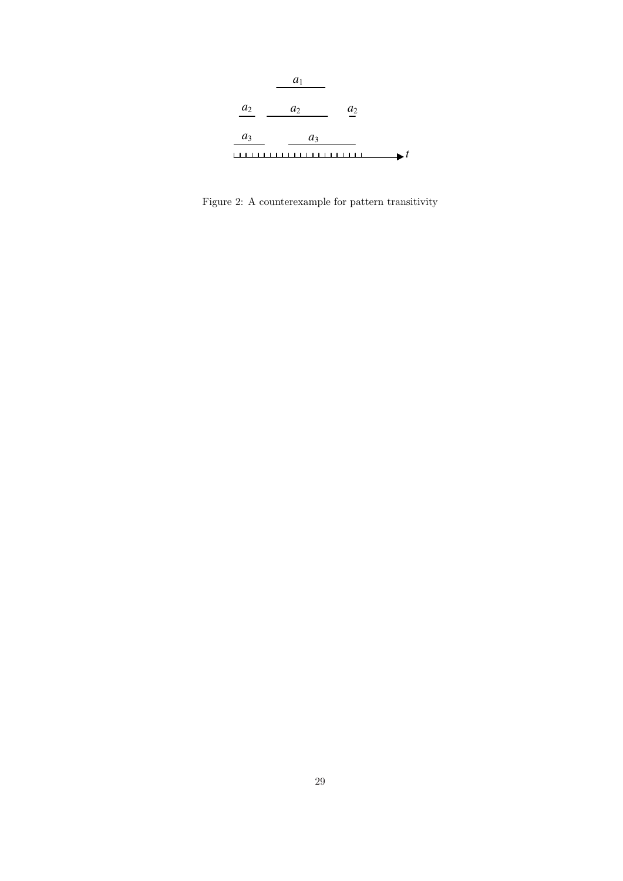

Figure 2: A counterexample for pattern transitivity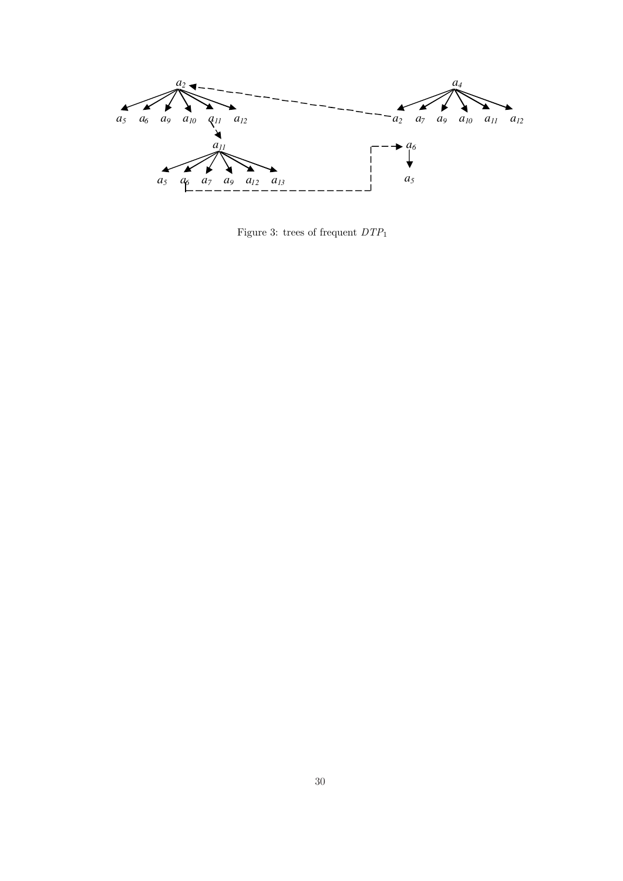

Figure 3: trees of frequent  $DTP_1$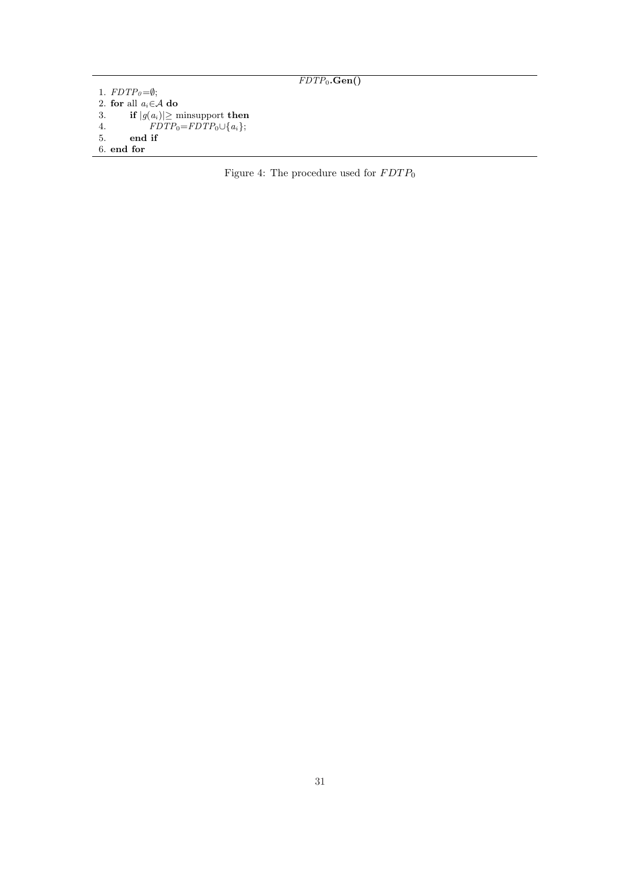```
FDTP_0.Gen()
```

```
1. FDTP<sub>0</sub>=\emptyset;2. for all a_i \in \mathcal{A} do<br>3. if |g(a_i)| \geq n3. if |g(a_i)| \ge minsupport then
 4. FDTP_0=FDTP_0\cup\{a_i\};5. end if
6. end for
```
Figure 4: The procedure used for  $\emph{FDTP}_0$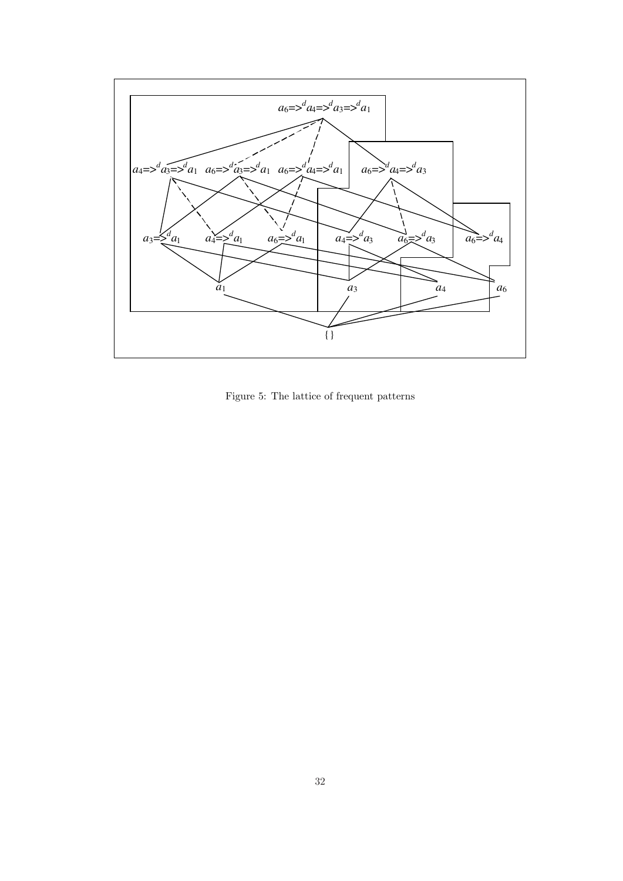

Figure 5: The lattice of frequent patterns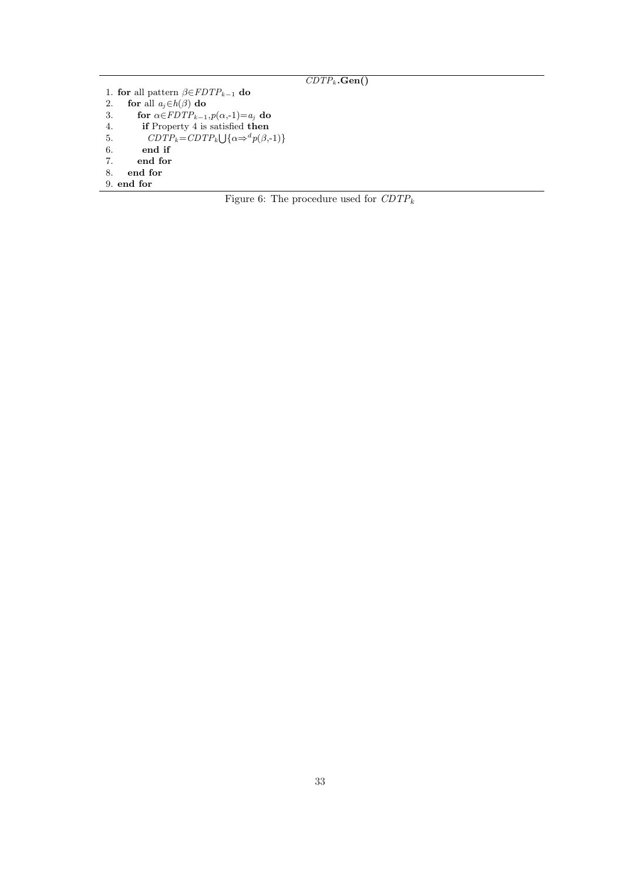## $CDTP_k$ .Gen()

```
1. for all pattern \beta \in FDTP_{k-1} do<br>2. for all a_j \in h(\beta) do
2. for all a_j \in h(\beta) do<br>3. for \alpha \in FDTP_{k-1}for \alpha \in FDTP_{k-1}, p(\alpha,-1)=a_j do
4. if Property 4 is satisfied then
5. CDTP_k = CDTP_k \cup {\alpha \Rightarrow^d p(\beta, -1)}6. end if
7. end for
8. end for
```
9. end for

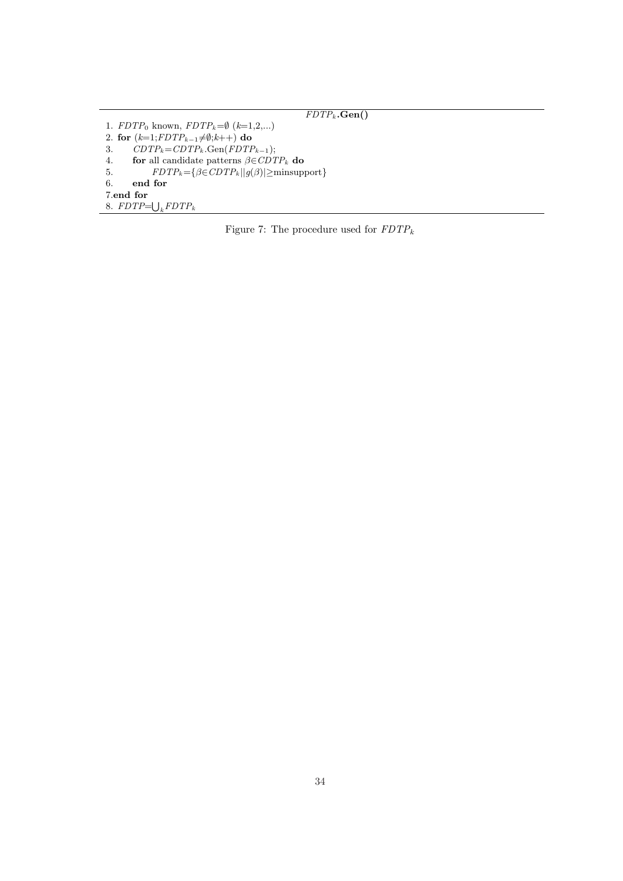$\overline{FDTP_k\textbf{.Gen()}}$ 1.  $FDTP_0$  known,  $FDTP_k=\emptyset$  ( $k=1,2,...$ ) 2. for  $(k=1; FDTP_{k-1}\neq\emptyset; k++)$  do 3.  $CDTP_k = CDTP_k$ .Gen( $FDTP_{k-1}$ ); 4. for all candidate patterns  $\beta \in CDTP_k$  do 5.  $FDTP_k = {\beta \in CDTP_k || g(\beta) | \ge \text{minsupport}}$ <br>6. end for end for 7.end for 7.end for<br>8.  $FDTP = \bigcup_k FDTP_k$ 

Figure 7: The procedure used for  $FDTP_k$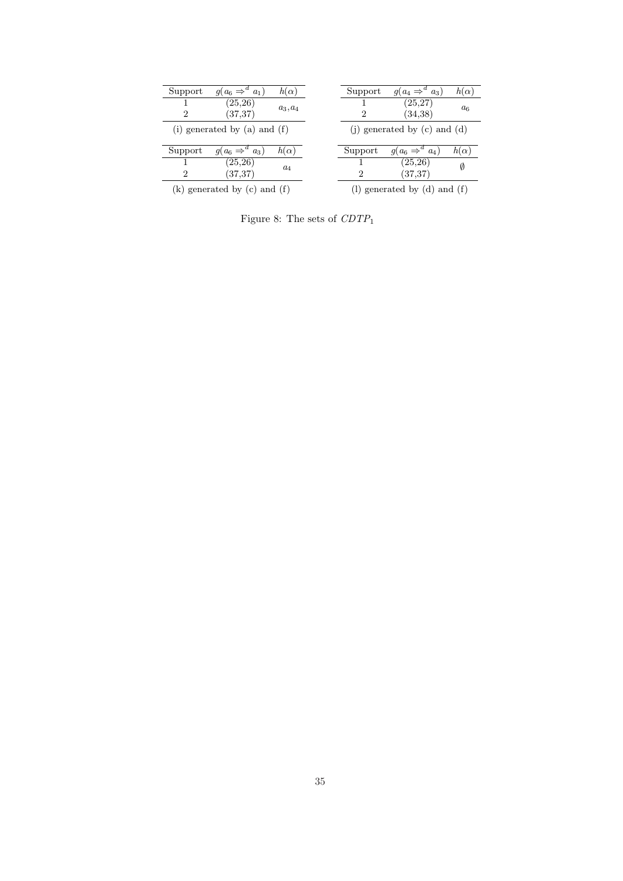| Support        | $g(a_6 \Rightarrow^d a_1)$     | $h(\alpha)$ | Support | $q(a_4 \Rightarrow^a a_3)$       | $h(\alpha)$ |
|----------------|--------------------------------|-------------|---------|----------------------------------|-------------|
| 2              | (25, 26)<br>(37, 37)           | $a_3, a_4$  | 2       | (25,27)<br>(34,38)               | $a_{6}$     |
|                | (i) generated by (a) and $(f)$ |             |         | (i) generated by $(c)$ and $(d)$ |             |
| Support        | $g(a_6 \Rightarrow^d a_3)$     | $h(\alpha)$ | Support | $q(a_6 \Rightarrow^d a_4)$       | $h(\alpha)$ |
|                | (25, 26)                       |             |         | (25, 26)                         |             |
|                |                                | $a_4$       |         |                                  | 0           |
| $\overline{2}$ | (37, 37)                       |             | 2       | (37, 37)                         |             |

Figure 8: The sets of  $CDTP_1$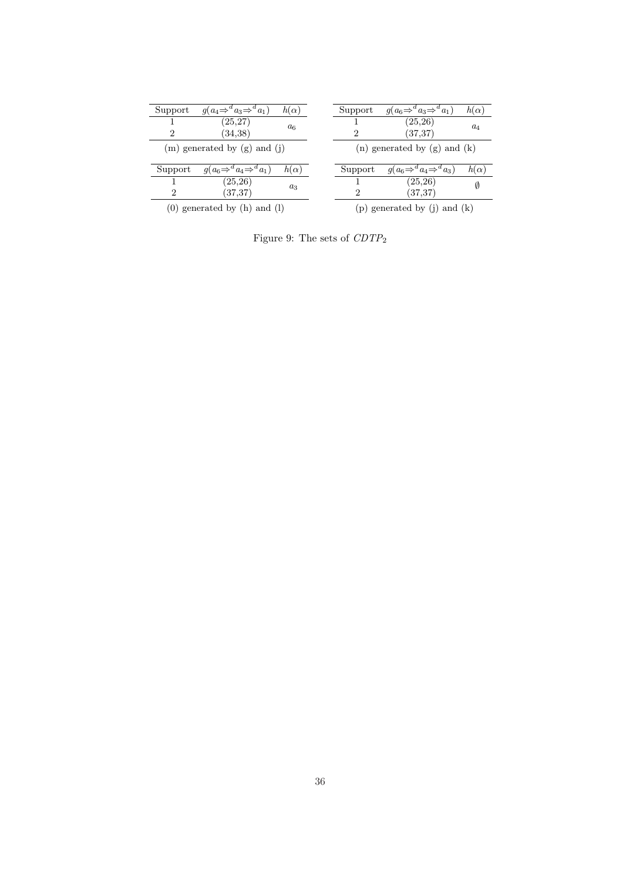| Support        | $g(a_4 \Rightarrow^d a_3 \Rightarrow^d a_1)$ | $h(\alpha)$ | Support | $g(a_6 \Rightarrow^d a_3 \Rightarrow^d a_1)$ | $h(\alpha)$ |
|----------------|----------------------------------------------|-------------|---------|----------------------------------------------|-------------|
| $\overline{2}$ | (25, 27)<br>(34,38)                          | $a_6$       | 2       | (25, 26)<br>(37, 37)                         | $a_4$       |
|                | $(m)$ generated by $(g)$ and $(i)$           |             |         | $(n)$ generated by $(g)$ and $(k)$           |             |
| Support        | $q(a_6 \Rightarrow^d a_4 \Rightarrow^d a_1)$ | $h(\alpha)$ | Support | $g(a_6 \Rightarrow^d a_4 \Rightarrow^d a_3)$ | $h(\alpha)$ |
|                | (25, 26)                                     | $a_3$       |         | (25, 26)                                     | Ø           |
|                | (37, 37)                                     |             | 2       | (37, 37)                                     |             |
| 2              |                                              |             |         |                                              |             |

Figure 9: The sets of  $CDTP_2$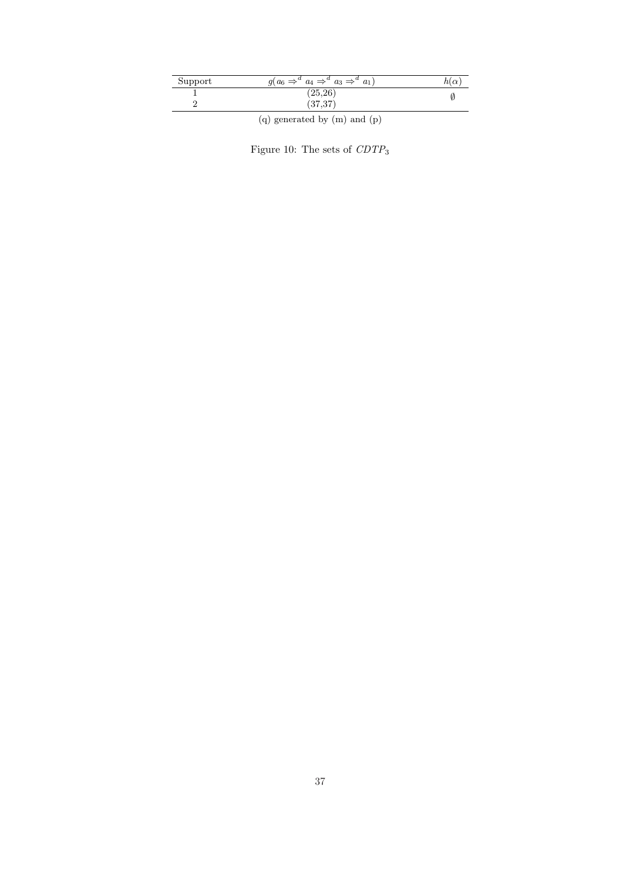| Support | $q(a_6 \Rightarrow^a a_4 \Rightarrow^a a_3 \Rightarrow^a$<br>$a_1$ | 1U |
|---------|--------------------------------------------------------------------|----|
|         | $\left( 25,26\right)$                                              |    |
|         | 97.97<br>0.01                                                      |    |

(q) generated by (m) and (p)

Figure 10: The sets of  $\it{CDTP}_3$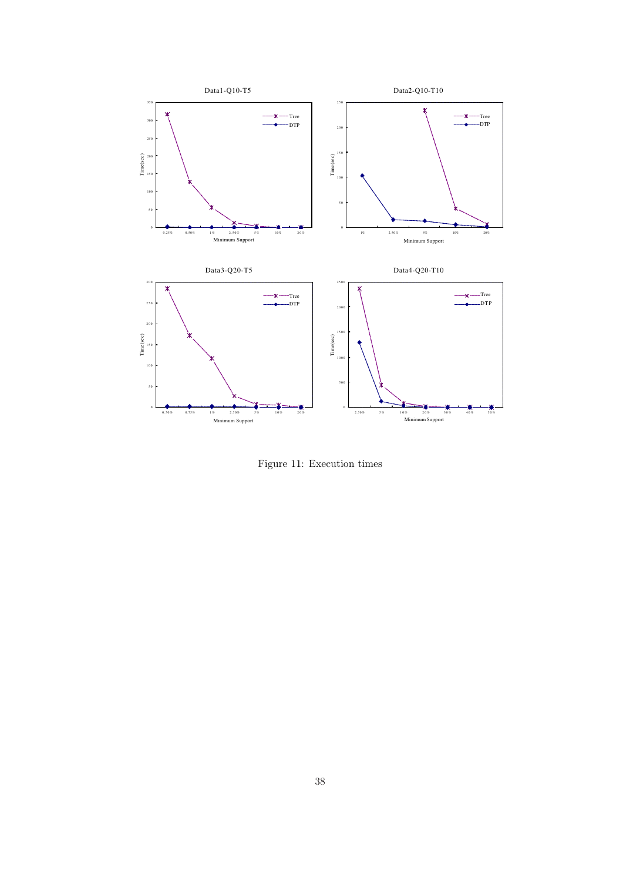

Figure 11: Execution times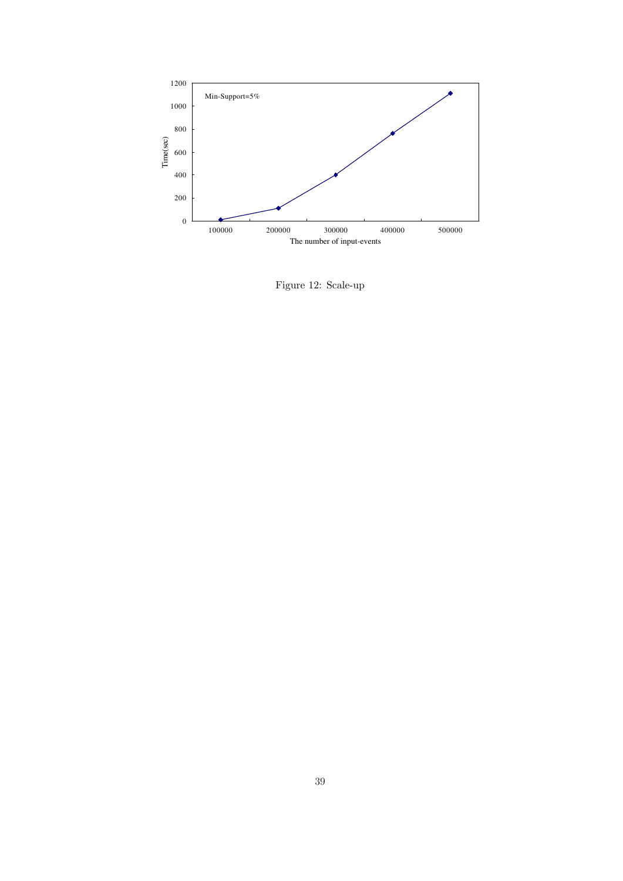

Figure 12: Scale-up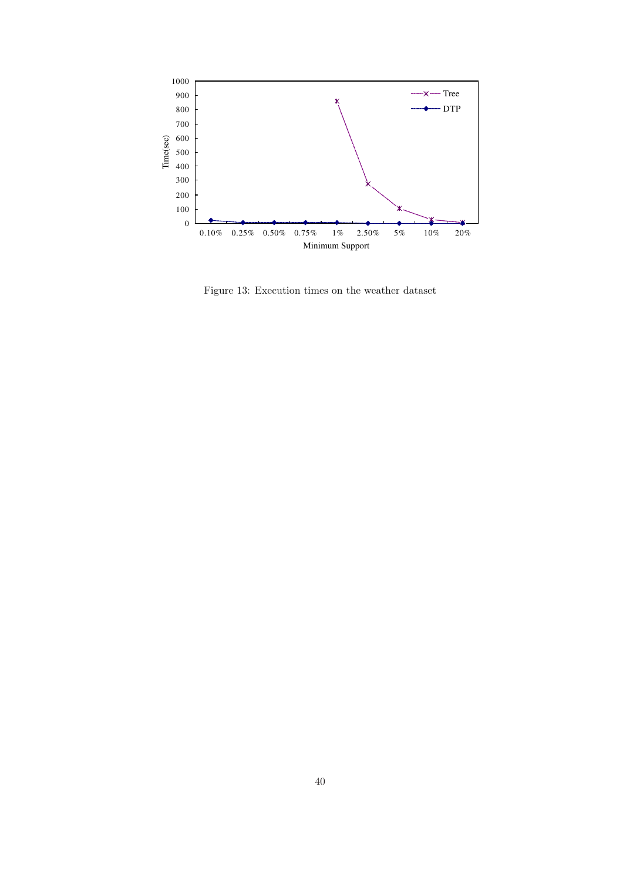

Figure 13: Execution times on the weather dataset